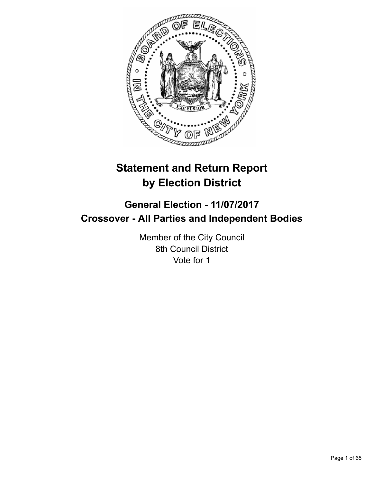

# **Statement and Return Report by Election District**

# **General Election - 11/07/2017 Crossover - All Parties and Independent Bodies**

Member of the City Council 8th Council District Vote for 1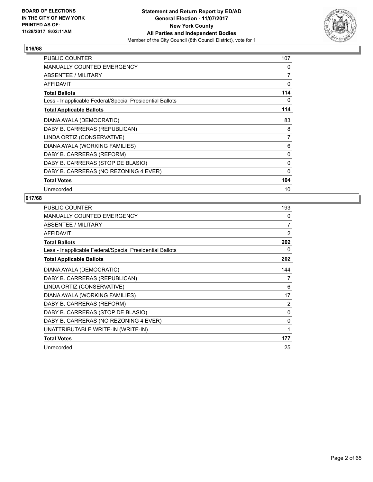

| <b>PUBLIC COUNTER</b>                                    | 107          |
|----------------------------------------------------------|--------------|
| MANUALLY COUNTED EMERGENCY                               | 0            |
| ABSENTEE / MILITARY                                      | 7            |
| <b>AFFIDAVIT</b>                                         | 0            |
| <b>Total Ballots</b>                                     | 114          |
| Less - Inapplicable Federal/Special Presidential Ballots | 0            |
| <b>Total Applicable Ballots</b>                          | 114          |
| DIANA AYALA (DEMOCRATIC)                                 | 83           |
| DABY B. CARRERAS (REPUBLICAN)                            | 8            |
| LINDA ORTIZ (CONSERVATIVE)                               | 7            |
| DIANA AYALA (WORKING FAMILIES)                           | 6            |
| DABY B. CARRERAS (REFORM)                                | 0            |
| DABY B. CARRERAS (STOP DE BLASIO)                        | 0            |
| DABY B. CARRERAS (NO REZONING 4 EVER)                    | $\mathbf{0}$ |
| <b>Total Votes</b>                                       | 104          |
| Unrecorded                                               | 10           |

| <b>PUBLIC COUNTER</b>                                    | 193            |
|----------------------------------------------------------|----------------|
| <b>MANUALLY COUNTED EMERGENCY</b>                        | 0              |
| ABSENTEE / MILITARY                                      | 7              |
| <b>AFFIDAVIT</b>                                         | 2              |
| <b>Total Ballots</b>                                     | 202            |
| Less - Inapplicable Federal/Special Presidential Ballots | 0              |
| <b>Total Applicable Ballots</b>                          | 202            |
| DIANA AYALA (DEMOCRATIC)                                 | 144            |
| DABY B. CARRERAS (REPUBLICAN)                            | 7              |
| LINDA ORTIZ (CONSERVATIVE)                               | 6              |
| DIANA AYALA (WORKING FAMILIES)                           | 17             |
| DABY B. CARRERAS (REFORM)                                | $\overline{2}$ |
| DABY B. CARRERAS (STOP DE BLASIO)                        | 0              |
| DABY B. CARRERAS (NO REZONING 4 EVER)                    | $\mathbf{0}$   |
| UNATTRIBUTABLE WRITE-IN (WRITE-IN)                       | 1              |
| <b>Total Votes</b>                                       | 177            |
| Unrecorded                                               | 25             |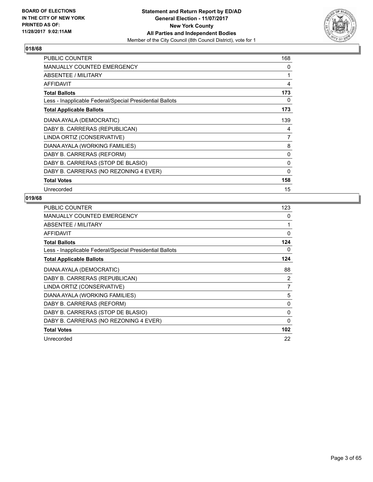

| <b>PUBLIC COUNTER</b>                                    | 168          |
|----------------------------------------------------------|--------------|
| <b>MANUALLY COUNTED EMERGENCY</b>                        | 0            |
| ABSENTEE / MILITARY                                      | 1            |
| <b>AFFIDAVIT</b>                                         | 4            |
| <b>Total Ballots</b>                                     | 173          |
| Less - Inapplicable Federal/Special Presidential Ballots | 0            |
| <b>Total Applicable Ballots</b>                          | 173          |
| DIANA AYALA (DEMOCRATIC)                                 | 139          |
| DABY B. CARRERAS (REPUBLICAN)                            | 4            |
| LINDA ORTIZ (CONSERVATIVE)                               | 7            |
| DIANA AYALA (WORKING FAMILIES)                           | 8            |
| DABY B. CARRERAS (REFORM)                                | 0            |
| DABY B. CARRERAS (STOP DE BLASIO)                        | 0            |
| DABY B. CARRERAS (NO REZONING 4 EVER)                    | $\mathbf{0}$ |
| <b>Total Votes</b>                                       | 158          |
| Unrecorded                                               | 15           |

| <b>PUBLIC COUNTER</b>                                    | 123      |
|----------------------------------------------------------|----------|
| <b>MANUALLY COUNTED EMERGENCY</b>                        | 0        |
| ABSENTEE / MILITARY                                      | 1        |
| <b>AFFIDAVIT</b>                                         | $\Omega$ |
| <b>Total Ballots</b>                                     | 124      |
| Less - Inapplicable Federal/Special Presidential Ballots | 0        |
| <b>Total Applicable Ballots</b>                          | 124      |
| DIANA AYALA (DEMOCRATIC)                                 | 88       |
| DABY B. CARRERAS (REPUBLICAN)                            | 2        |
| LINDA ORTIZ (CONSERVATIVE)                               | 7        |
| DIANA AYALA (WORKING FAMILIES)                           | 5        |
| DABY B. CARRERAS (REFORM)                                | 0        |
| DABY B. CARRERAS (STOP DE BLASIO)                        | 0        |
| DABY B. CARRERAS (NO REZONING 4 EVER)                    | 0        |
| <b>Total Votes</b>                                       | 102      |
| Unrecorded                                               | 22       |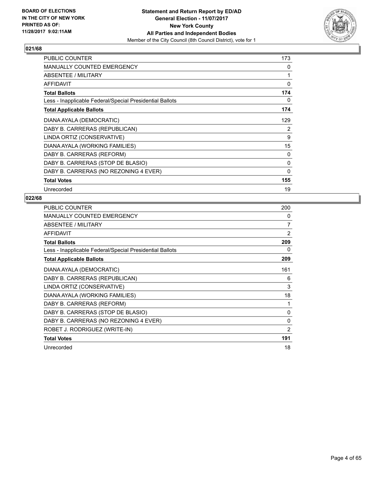

| <b>PUBLIC COUNTER</b>                                    | 173 |
|----------------------------------------------------------|-----|
| <b>MANUALLY COUNTED EMERGENCY</b>                        | 0   |
| ABSENTEE / MILITARY                                      | 1   |
| <b>AFFIDAVIT</b>                                         | 0   |
| <b>Total Ballots</b>                                     | 174 |
| Less - Inapplicable Federal/Special Presidential Ballots | 0   |
| <b>Total Applicable Ballots</b>                          | 174 |
| DIANA AYALA (DEMOCRATIC)                                 | 129 |
| DABY B. CARRERAS (REPUBLICAN)                            | 2   |
| LINDA ORTIZ (CONSERVATIVE)                               | 9   |
| DIANA AYALA (WORKING FAMILIES)                           | 15  |
| DABY B. CARRERAS (REFORM)                                | 0   |
| DABY B. CARRERAS (STOP DE BLASIO)                        | 0   |
| DABY B. CARRERAS (NO REZONING 4 EVER)                    | 0   |
| <b>Total Votes</b>                                       | 155 |
| Unrecorded                                               | 19  |

| <b>PUBLIC COUNTER</b>                                    | 200      |
|----------------------------------------------------------|----------|
| <b>MANUALLY COUNTED EMERGENCY</b>                        | 0        |
| ABSENTEE / MILITARY                                      | 7        |
| <b>AFFIDAVIT</b>                                         | 2        |
| <b>Total Ballots</b>                                     | 209      |
| Less - Inapplicable Federal/Special Presidential Ballots | 0        |
| <b>Total Applicable Ballots</b>                          | 209      |
| DIANA AYALA (DEMOCRATIC)                                 | 161      |
| DABY B. CARRERAS (REPUBLICAN)                            | 6        |
| LINDA ORTIZ (CONSERVATIVE)                               | 3        |
| DIANA AYALA (WORKING FAMILIES)                           | 18       |
| DABY B. CARRERAS (REFORM)                                | 1        |
| DABY B. CARRERAS (STOP DE BLASIO)                        | $\Omega$ |
| DABY B. CARRERAS (NO REZONING 4 EVER)                    | $\Omega$ |
| ROBET J. RODRIGUEZ (WRITE-IN)                            | 2        |
| <b>Total Votes</b>                                       | 191      |
| Unrecorded                                               | 18       |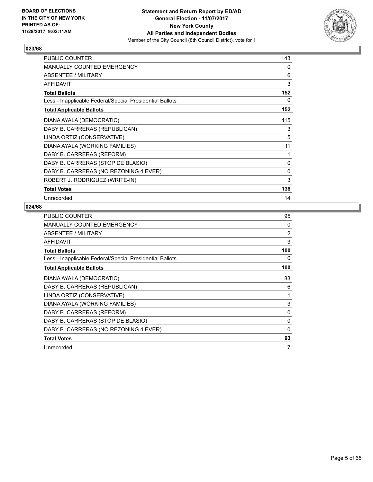

| PUBLIC COUNTER                                           | 143          |
|----------------------------------------------------------|--------------|
| <b>MANUALLY COUNTED EMERGENCY</b>                        | 0            |
| <b>ABSENTEE / MILITARY</b>                               | 6            |
| <b>AFFIDAVIT</b>                                         | 3            |
| <b>Total Ballots</b>                                     | 152          |
| Less - Inapplicable Federal/Special Presidential Ballots | 0            |
| <b>Total Applicable Ballots</b>                          | 152          |
| DIANA AYALA (DEMOCRATIC)                                 | 115          |
| DABY B. CARRERAS (REPUBLICAN)                            | 3            |
| LINDA ORTIZ (CONSERVATIVE)                               | 5            |
| DIANA AYALA (WORKING FAMILIES)                           | 11           |
| DABY B. CARRERAS (REFORM)                                | 1            |
| DABY B. CARRERAS (STOP DE BLASIO)                        | 0            |
| DABY B. CARRERAS (NO REZONING 4 EVER)                    | $\mathbf{0}$ |
| ROBERT J. RODRIGUEZ (WRITE-IN)                           | 3            |
| <b>Total Votes</b>                                       | 138          |
| Unrecorded                                               | 14           |

| <b>PUBLIC COUNTER</b>                                    | 95           |
|----------------------------------------------------------|--------------|
| <b>MANUALLY COUNTED EMERGENCY</b>                        | 0            |
| ABSENTEE / MILITARY                                      | 2            |
| <b>AFFIDAVIT</b>                                         | 3            |
| <b>Total Ballots</b>                                     | 100          |
| Less - Inapplicable Federal/Special Presidential Ballots | 0            |
| <b>Total Applicable Ballots</b>                          | 100          |
| DIANA AYALA (DEMOCRATIC)                                 | 83           |
| DABY B. CARRERAS (REPUBLICAN)                            | 6            |
| LINDA ORTIZ (CONSERVATIVE)                               | 1            |
| DIANA AYALA (WORKING FAMILIES)                           | 3            |
| DABY B. CARRERAS (REFORM)                                | 0            |
| DABY B. CARRERAS (STOP DE BLASIO)                        | $\mathbf{0}$ |
| DABY B. CARRERAS (NO REZONING 4 EVER)                    | 0            |
| <b>Total Votes</b>                                       | 93           |
| Unrecorded                                               | 7            |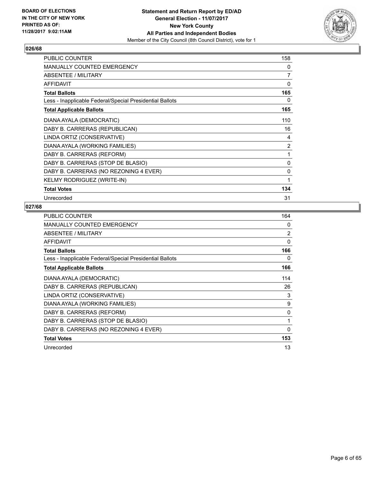

| <b>PUBLIC COUNTER</b>                                    | 158      |
|----------------------------------------------------------|----------|
| <b>MANUALLY COUNTED EMERGENCY</b>                        | 0        |
| <b>ABSENTEE / MILITARY</b>                               | 7        |
| <b>AFFIDAVIT</b>                                         | 0        |
| <b>Total Ballots</b>                                     | 165      |
| Less - Inapplicable Federal/Special Presidential Ballots | 0        |
| <b>Total Applicable Ballots</b>                          | 165      |
| DIANA AYALA (DEMOCRATIC)                                 | 110      |
| DABY B. CARRERAS (REPUBLICAN)                            | 16       |
| LINDA ORTIZ (CONSERVATIVE)                               | 4        |
| DIANA AYALA (WORKING FAMILIES)                           | 2        |
| DABY B. CARRERAS (REFORM)                                | 1        |
| DABY B. CARRERAS (STOP DE BLASIO)                        | 0        |
| DABY B. CARRERAS (NO REZONING 4 EVER)                    | $\Omega$ |
| KELMY RODRIGUEZ (WRITE-IN)                               | 1        |
| <b>Total Votes</b>                                       | 134      |
| Unrecorded                                               | 31       |

| <b>PUBLIC COUNTER</b>                                    | 164 |
|----------------------------------------------------------|-----|
| <b>MANUALLY COUNTED EMERGENCY</b>                        | 0   |
| ABSENTEE / MILITARY                                      | 2   |
| <b>AFFIDAVIT</b>                                         | 0   |
| <b>Total Ballots</b>                                     | 166 |
| Less - Inapplicable Federal/Special Presidential Ballots | 0   |
| <b>Total Applicable Ballots</b>                          | 166 |
| DIANA AYALA (DEMOCRATIC)                                 | 114 |
| DABY B. CARRERAS (REPUBLICAN)                            | 26  |
| LINDA ORTIZ (CONSERVATIVE)                               | 3   |
| DIANA AYALA (WORKING FAMILIES)                           | 9   |
| DABY B. CARRERAS (REFORM)                                | 0   |
| DABY B. CARRERAS (STOP DE BLASIO)                        | 1   |
| DABY B. CARRERAS (NO REZONING 4 EVER)                    | 0   |
| <b>Total Votes</b>                                       | 153 |
| Unrecorded                                               | 13  |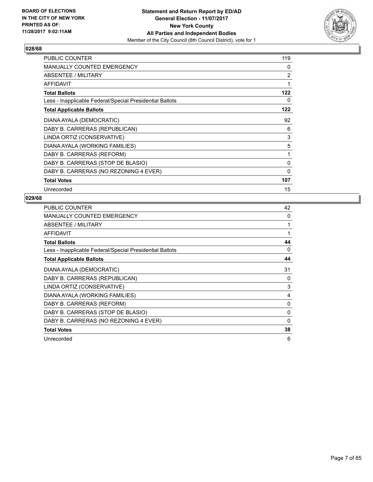

| PUBLIC COUNTER                                           | 119 |
|----------------------------------------------------------|-----|
| <b>MANUALLY COUNTED EMERGENCY</b>                        | 0   |
| ABSENTEE / MILITARY                                      | 2   |
| <b>AFFIDAVIT</b>                                         | 1   |
| <b>Total Ballots</b>                                     | 122 |
| Less - Inapplicable Federal/Special Presidential Ballots | 0   |
| <b>Total Applicable Ballots</b>                          | 122 |
| DIANA AYALA (DEMOCRATIC)                                 | 92  |
| DABY B. CARRERAS (REPUBLICAN)                            | 6   |
| LINDA ORTIZ (CONSERVATIVE)                               | 3   |
| DIANA AYALA (WORKING FAMILIES)                           | 5   |
| DABY B. CARRERAS (REFORM)                                | 1   |
| DABY B. CARRERAS (STOP DE BLASIO)                        | 0   |
| DABY B. CARRERAS (NO REZONING 4 EVER)                    | 0   |
| <b>Total Votes</b>                                       | 107 |
| Unrecorded                                               | 15  |

| <b>PUBLIC COUNTER</b>                                    | 42 |
|----------------------------------------------------------|----|
| MANUALLY COUNTED EMERGENCY                               | 0  |
| ABSENTEE / MILITARY                                      | 1  |
| AFFIDAVIT                                                | 1  |
| <b>Total Ballots</b>                                     | 44 |
| Less - Inapplicable Federal/Special Presidential Ballots | 0  |
| <b>Total Applicable Ballots</b>                          | 44 |
| DIANA AYALA (DEMOCRATIC)                                 | 31 |
| DABY B. CARRERAS (REPUBLICAN)                            | 0  |
| LINDA ORTIZ (CONSERVATIVE)                               | 3  |
| DIANA AYALA (WORKING FAMILIES)                           | 4  |
| DABY B. CARRERAS (REFORM)                                | 0  |
| DABY B. CARRERAS (STOP DE BLASIO)                        | 0  |
| DABY B. CARRERAS (NO REZONING 4 EVER)                    | 0  |
| <b>Total Votes</b>                                       | 38 |
| Unrecorded                                               | 6  |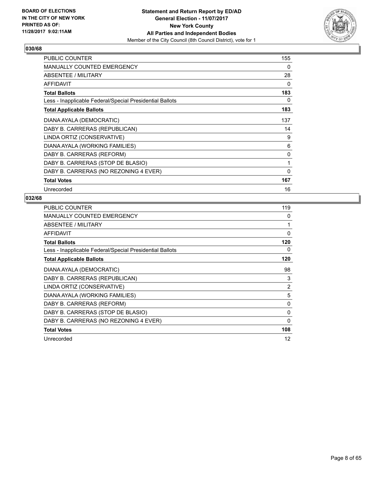

| <b>PUBLIC COUNTER</b>                                    | 155          |
|----------------------------------------------------------|--------------|
| MANUALLY COUNTED EMERGENCY                               | 0            |
| ABSENTEE / MILITARY                                      | 28           |
| <b>AFFIDAVIT</b>                                         | 0            |
| <b>Total Ballots</b>                                     | 183          |
| Less - Inapplicable Federal/Special Presidential Ballots | 0            |
| <b>Total Applicable Ballots</b>                          | 183          |
| DIANA AYALA (DEMOCRATIC)                                 | 137          |
| DABY B. CARRERAS (REPUBLICAN)                            | 14           |
| LINDA ORTIZ (CONSERVATIVE)                               | 9            |
| DIANA AYALA (WORKING FAMILIES)                           | 6            |
| DABY B. CARRERAS (REFORM)                                | 0            |
| DABY B. CARRERAS (STOP DE BLASIO)                        | 1            |
| DABY B. CARRERAS (NO REZONING 4 EVER)                    | $\mathbf{0}$ |
| <b>Total Votes</b>                                       | 167          |
| Unrecorded                                               | 16           |

| <b>PUBLIC COUNTER</b>                                    | 119          |
|----------------------------------------------------------|--------------|
| <b>MANUALLY COUNTED EMERGENCY</b>                        | 0            |
| ABSENTEE / MILITARY                                      |              |
| <b>AFFIDAVIT</b>                                         | $\Omega$     |
| <b>Total Ballots</b>                                     | 120          |
| Less - Inapplicable Federal/Special Presidential Ballots | 0            |
| <b>Total Applicable Ballots</b>                          | 120          |
| DIANA AYALA (DEMOCRATIC)                                 | 98           |
| DABY B. CARRERAS (REPUBLICAN)                            | 3            |
| LINDA ORTIZ (CONSERVATIVE)                               | 2            |
| DIANA AYALA (WORKING FAMILIES)                           | 5            |
| DABY B. CARRERAS (REFORM)                                | 0            |
| DABY B. CARRERAS (STOP DE BLASIO)                        | $\mathbf{0}$ |
| DABY B. CARRERAS (NO REZONING 4 EVER)                    | 0            |
| <b>Total Votes</b>                                       | 108          |
| Unrecorded                                               | 12           |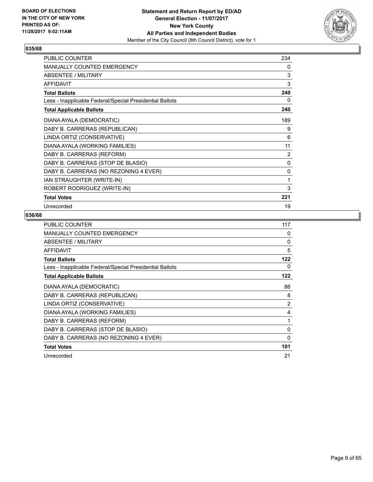

| <b>PUBLIC COUNTER</b>                                    | 234 |
|----------------------------------------------------------|-----|
| MANUALLY COUNTED EMERGENCY                               | 0   |
| ABSENTEE / MILITARY                                      | 3   |
| <b>AFFIDAVIT</b>                                         | 3   |
| <b>Total Ballots</b>                                     | 240 |
| Less - Inapplicable Federal/Special Presidential Ballots | 0   |
| <b>Total Applicable Ballots</b>                          | 240 |
| DIANA AYALA (DEMOCRATIC)                                 | 189 |
| DABY B. CARRERAS (REPUBLICAN)                            | 9   |
| LINDA ORTIZ (CONSERVATIVE)                               | 6   |
| DIANA AYALA (WORKING FAMILIES)                           | 11  |
| DABY B. CARRERAS (REFORM)                                | 2   |
| DABY B. CARRERAS (STOP DE BLASIO)                        | 0   |
| DABY B. CARRERAS (NO REZONING 4 EVER)                    | 0   |
| IAN STRAUGHTER (WRITE-IN)                                | 1   |
| ROBERT RODRIGUEZ (WRITE-IN)                              | 3   |
| <b>Total Votes</b>                                       | 221 |
| Unrecorded                                               | 19  |

| <b>PUBLIC COUNTER</b>                                    | 117            |
|----------------------------------------------------------|----------------|
| <b>MANUALLY COUNTED EMERGENCY</b>                        | 0              |
| <b>ABSENTEE / MILITARY</b>                               | 0              |
| AFFIDAVIT                                                | 5              |
| <b>Total Ballots</b>                                     | 122            |
| Less - Inapplicable Federal/Special Presidential Ballots | 0              |
| <b>Total Applicable Ballots</b>                          | 122            |
| DIANA AYALA (DEMOCRATIC)                                 | 86             |
| DABY B. CARRERAS (REPUBLICAN)                            | 8              |
| LINDA ORTIZ (CONSERVATIVE)                               | $\overline{2}$ |
| DIANA AYALA (WORKING FAMILIES)                           | 4              |
| DABY B. CARRERAS (REFORM)                                | 1              |
| DABY B. CARRERAS (STOP DE BLASIO)                        | $\Omega$       |
| DABY B. CARRERAS (NO REZONING 4 EVER)                    | 0              |
| <b>Total Votes</b>                                       | 101            |
| Unrecorded                                               | 21             |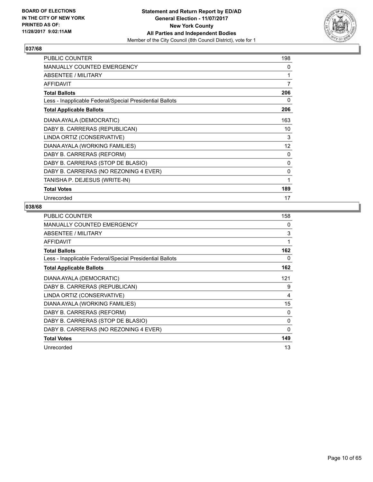

| PUBLIC COUNTER                                           | 198 |
|----------------------------------------------------------|-----|
| MANUALLY COUNTED EMERGENCY                               | 0   |
| <b>ABSENTEE / MILITARY</b>                               | 1   |
| <b>AFFIDAVIT</b>                                         | 7   |
| <b>Total Ballots</b>                                     | 206 |
| Less - Inapplicable Federal/Special Presidential Ballots | 0   |
| <b>Total Applicable Ballots</b>                          | 206 |
| DIANA AYALA (DEMOCRATIC)                                 | 163 |
| DABY B. CARRERAS (REPUBLICAN)                            | 10  |
| LINDA ORTIZ (CONSERVATIVE)                               | 3   |
| DIANA AYALA (WORKING FAMILIES)                           | 12  |
| DABY B. CARRERAS (REFORM)                                | 0   |
| DABY B. CARRERAS (STOP DE BLASIO)                        | 0   |
| DABY B. CARRERAS (NO REZONING 4 EVER)                    | 0   |
| TANISHA P. DEJESUS (WRITE-IN)                            | 1   |
| <b>Total Votes</b>                                       | 189 |
| Unrecorded                                               | 17  |

| PUBLIC COUNTER                                           | 158      |
|----------------------------------------------------------|----------|
| <b>MANUALLY COUNTED EMERGENCY</b>                        | 0        |
| ABSENTEE / MILITARY                                      | 3        |
| <b>AFFIDAVIT</b>                                         | 1        |
| <b>Total Ballots</b>                                     | 162      |
| Less - Inapplicable Federal/Special Presidential Ballots | 0        |
| <b>Total Applicable Ballots</b>                          | 162      |
| DIANA AYALA (DEMOCRATIC)                                 | 121      |
| DABY B. CARRERAS (REPUBLICAN)                            | 9        |
| LINDA ORTIZ (CONSERVATIVE)                               | 4        |
| DIANA AYALA (WORKING FAMILIES)                           | 15       |
| DABY B. CARRERAS (REFORM)                                | 0        |
| DABY B. CARRERAS (STOP DE BLASIO)                        | $\Omega$ |
| DABY B. CARRERAS (NO REZONING 4 EVER)                    | 0        |
| <b>Total Votes</b>                                       | 149      |
| Unrecorded                                               | 13       |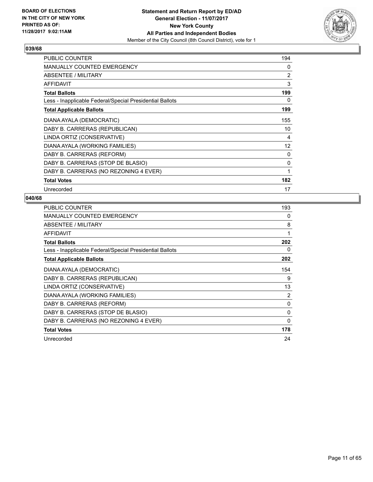

| <b>PUBLIC COUNTER</b>                                    | 194 |
|----------------------------------------------------------|-----|
| <b>MANUALLY COUNTED EMERGENCY</b>                        | 0   |
| ABSENTEE / MILITARY                                      | 2   |
| AFFIDAVIT                                                | 3   |
| <b>Total Ballots</b>                                     | 199 |
| Less - Inapplicable Federal/Special Presidential Ballots | 0   |
| <b>Total Applicable Ballots</b>                          | 199 |
| DIANA AYALA (DEMOCRATIC)                                 | 155 |
| DABY B. CARRERAS (REPUBLICAN)                            | 10  |
| LINDA ORTIZ (CONSERVATIVE)                               | 4   |
| DIANA AYALA (WORKING FAMILIES)                           | 12  |
| DABY B. CARRERAS (REFORM)                                | 0   |
| DABY B. CARRERAS (STOP DE BLASIO)                        | 0   |
| DABY B. CARRERAS (NO REZONING 4 EVER)                    | 1   |
| <b>Total Votes</b>                                       | 182 |
| Unrecorded                                               | 17  |

| <b>PUBLIC COUNTER</b>                                    | 193 |
|----------------------------------------------------------|-----|
| MANUALLY COUNTED EMERGENCY                               | 0   |
| ABSENTEE / MILITARY                                      | 8   |
| AFFIDAVIT                                                | 1   |
| <b>Total Ballots</b>                                     | 202 |
| Less - Inapplicable Federal/Special Presidential Ballots | 0   |
| <b>Total Applicable Ballots</b>                          | 202 |
| DIANA AYALA (DEMOCRATIC)                                 | 154 |
| DABY B. CARRERAS (REPUBLICAN)                            | 9   |
| LINDA ORTIZ (CONSERVATIVE)                               | 13  |
| DIANA AYALA (WORKING FAMILIES)                           | 2   |
| DABY B. CARRERAS (REFORM)                                | 0   |
| DABY B. CARRERAS (STOP DE BLASIO)                        | 0   |
| DABY B. CARRERAS (NO REZONING 4 EVER)                    | 0   |
| <b>Total Votes</b>                                       | 178 |
| Unrecorded                                               | 24  |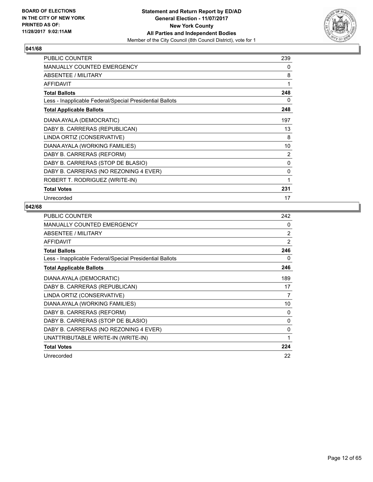

| <b>PUBLIC COUNTER</b>                                    | 239 |
|----------------------------------------------------------|-----|
| <b>MANUALLY COUNTED EMERGENCY</b>                        | 0   |
| <b>ABSENTEE / MILITARY</b>                               | 8   |
| <b>AFFIDAVIT</b>                                         | 1   |
| <b>Total Ballots</b>                                     | 248 |
| Less - Inapplicable Federal/Special Presidential Ballots | 0   |
| <b>Total Applicable Ballots</b>                          | 248 |
| DIANA AYALA (DEMOCRATIC)                                 | 197 |
| DABY B. CARRERAS (REPUBLICAN)                            | 13  |
| LINDA ORTIZ (CONSERVATIVE)                               | 8   |
| DIANA AYALA (WORKING FAMILIES)                           | 10  |
| DABY B. CARRERAS (REFORM)                                | 2   |
| DABY B. CARRERAS (STOP DE BLASIO)                        | 0   |
| DABY B. CARRERAS (NO REZONING 4 EVER)                    | 0   |
| ROBERT T. RODRIGUEZ (WRITE-IN)                           | 1   |
| <b>Total Votes</b>                                       | 231 |
| Unrecorded                                               | 17  |

| PUBLIC COUNTER                                           | 242 |
|----------------------------------------------------------|-----|
| <b>MANUALLY COUNTED EMERGENCY</b>                        | 0   |
| ABSENTEE / MILITARY                                      | 2   |
| AFFIDAVIT                                                | 2   |
| <b>Total Ballots</b>                                     | 246 |
| Less - Inapplicable Federal/Special Presidential Ballots | 0   |
| <b>Total Applicable Ballots</b>                          | 246 |
| DIANA AYALA (DEMOCRATIC)                                 | 189 |
| DABY B. CARRERAS (REPUBLICAN)                            | 17  |
| LINDA ORTIZ (CONSERVATIVE)                               | 7   |
| DIANA AYALA (WORKING FAMILIES)                           | 10  |
| DABY B. CARRERAS (REFORM)                                | 0   |
| DABY B. CARRERAS (STOP DE BLASIO)                        | 0   |
| DABY B. CARRERAS (NO REZONING 4 EVER)                    | 0   |
| UNATTRIBUTABLE WRITE-IN (WRITE-IN)                       | 1   |
| <b>Total Votes</b>                                       | 224 |
| Unrecorded                                               | 22  |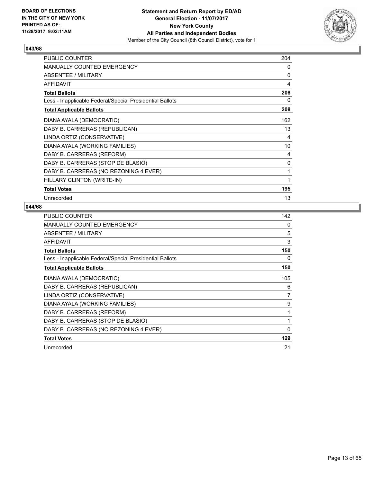

| <b>PUBLIC COUNTER</b>                                    | 204 |
|----------------------------------------------------------|-----|
| <b>MANUALLY COUNTED EMERGENCY</b>                        | 0   |
| <b>ABSENTEE / MILITARY</b>                               | 0   |
| <b>AFFIDAVIT</b>                                         | 4   |
| <b>Total Ballots</b>                                     | 208 |
| Less - Inapplicable Federal/Special Presidential Ballots | 0   |
| <b>Total Applicable Ballots</b>                          | 208 |
| DIANA AYALA (DEMOCRATIC)                                 | 162 |
| DABY B. CARRERAS (REPUBLICAN)                            | 13  |
| LINDA ORTIZ (CONSERVATIVE)                               | 4   |
| DIANA AYALA (WORKING FAMILIES)                           | 10  |
| DABY B. CARRERAS (REFORM)                                | 4   |
| DABY B. CARRERAS (STOP DE BLASIO)                        | 0   |
| DABY B. CARRERAS (NO REZONING 4 EVER)                    | 1   |
| HILLARY CLINTON (WRITE-IN)                               | 1   |
| <b>Total Votes</b>                                       | 195 |
| Unrecorded                                               | 13  |

| PUBLIC COUNTER                                           | 142 |
|----------------------------------------------------------|-----|
| <b>MANUALLY COUNTED EMERGENCY</b>                        | 0   |
| ABSENTEE / MILITARY                                      | 5   |
| <b>AFFIDAVIT</b>                                         | 3   |
| <b>Total Ballots</b>                                     | 150 |
| Less - Inapplicable Federal/Special Presidential Ballots | 0   |
| <b>Total Applicable Ballots</b>                          | 150 |
| DIANA AYALA (DEMOCRATIC)                                 | 105 |
| DABY B. CARRERAS (REPUBLICAN)                            | 6   |
| LINDA ORTIZ (CONSERVATIVE)                               | 7   |
| DIANA AYALA (WORKING FAMILIES)                           | 9   |
| DABY B. CARRERAS (REFORM)                                | 1   |
| DABY B. CARRERAS (STOP DE BLASIO)                        | 1   |
| DABY B. CARRERAS (NO REZONING 4 EVER)                    | 0   |
| <b>Total Votes</b>                                       | 129 |
| Unrecorded                                               | 21  |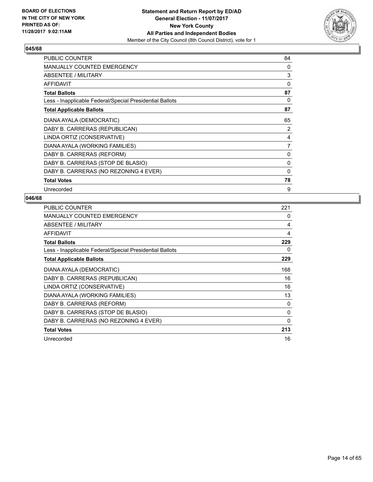

| <b>PUBLIC COUNTER</b>                                    | 84 |
|----------------------------------------------------------|----|
| <b>MANUALLY COUNTED EMERGENCY</b>                        | 0  |
| ABSENTEE / MILITARY                                      | 3  |
| <b>AFFIDAVIT</b>                                         | 0  |
| <b>Total Ballots</b>                                     | 87 |
| Less - Inapplicable Federal/Special Presidential Ballots | 0  |
| <b>Total Applicable Ballots</b>                          | 87 |
| DIANA AYALA (DEMOCRATIC)                                 | 65 |
| DABY B. CARRERAS (REPUBLICAN)                            | 2  |
| LINDA ORTIZ (CONSERVATIVE)                               | 4  |
| DIANA AYALA (WORKING FAMILIES)                           | 7  |
| DABY B. CARRERAS (REFORM)                                | 0  |
| DABY B. CARRERAS (STOP DE BLASIO)                        | 0  |
| DABY B. CARRERAS (NO REZONING 4 EVER)                    | 0  |
| <b>Total Votes</b>                                       | 78 |
| Unrecorded                                               | 9  |

| <b>PUBLIC COUNTER</b>                                    | 221      |
|----------------------------------------------------------|----------|
| <b>MANUALLY COUNTED EMERGENCY</b>                        | 0        |
| ABSENTEE / MILITARY                                      | 4        |
| <b>AFFIDAVIT</b>                                         | 4        |
| <b>Total Ballots</b>                                     | 229      |
| Less - Inapplicable Federal/Special Presidential Ballots | 0        |
| <b>Total Applicable Ballots</b>                          | 229      |
| DIANA AYALA (DEMOCRATIC)                                 | 168      |
| DABY B. CARRERAS (REPUBLICAN)                            | 16       |
| LINDA ORTIZ (CONSERVATIVE)                               | 16       |
| DIANA AYALA (WORKING FAMILIES)                           | 13       |
| DABY B. CARRERAS (REFORM)                                | 0        |
| DABY B. CARRERAS (STOP DE BLASIO)                        | 0        |
| DABY B. CARRERAS (NO REZONING 4 EVER)                    | $\Omega$ |
| <b>Total Votes</b>                                       | 213      |
| Unrecorded                                               | 16       |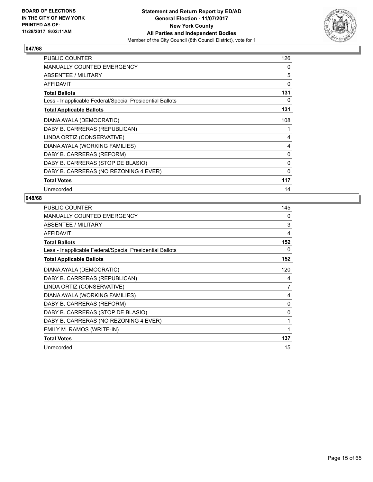

| <b>PUBLIC COUNTER</b>                                    | 126          |
|----------------------------------------------------------|--------------|
| <b>MANUALLY COUNTED EMERGENCY</b>                        | 0            |
| ABSENTEE / MILITARY                                      | 5            |
| <b>AFFIDAVIT</b>                                         | 0            |
| <b>Total Ballots</b>                                     | 131          |
| Less - Inapplicable Federal/Special Presidential Ballots | 0            |
| <b>Total Applicable Ballots</b>                          | 131          |
| DIANA AYALA (DEMOCRATIC)                                 | 108          |
| DABY B. CARRERAS (REPUBLICAN)                            | 1            |
| LINDA ORTIZ (CONSERVATIVE)                               | 4            |
| DIANA AYALA (WORKING FAMILIES)                           | 4            |
| DABY B. CARRERAS (REFORM)                                | 0            |
| DABY B. CARRERAS (STOP DE BLASIO)                        | 0            |
| DABY B. CARRERAS (NO REZONING 4 EVER)                    | $\mathbf{0}$ |
| <b>Total Votes</b>                                       | 117          |
| Unrecorded                                               | 14           |

| PUBLIC COUNTER                                           | 145            |
|----------------------------------------------------------|----------------|
| <b>MANUALLY COUNTED EMERGENCY</b>                        | $\Omega$       |
| ABSENTEE / MILITARY                                      | 3              |
| <b>AFFIDAVIT</b>                                         | 4              |
| <b>Total Ballots</b>                                     | 152            |
| Less - Inapplicable Federal/Special Presidential Ballots | 0              |
| <b>Total Applicable Ballots</b>                          | 152            |
| DIANA AYALA (DEMOCRATIC)                                 | 120            |
| DABY B. CARRERAS (REPUBLICAN)                            | 4              |
| LINDA ORTIZ (CONSERVATIVE)                               | $\overline{7}$ |
| DIANA AYALA (WORKING FAMILIES)                           | 4              |
| DABY B. CARRERAS (REFORM)                                | $\Omega$       |
| DABY B. CARRERAS (STOP DE BLASIO)                        | 0              |
| DABY B. CARRERAS (NO REZONING 4 EVER)                    | 1              |
| EMILY M. RAMOS (WRITE-IN)                                | 1              |
| <b>Total Votes</b>                                       | 137            |
| Unrecorded                                               | 15             |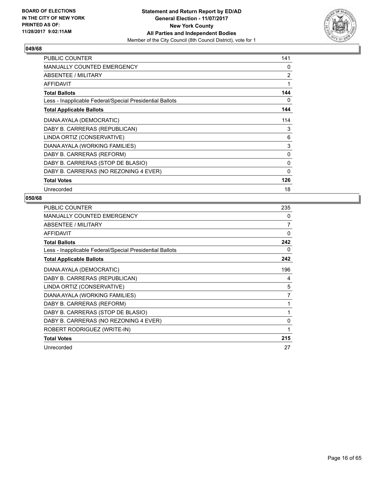

| <b>PUBLIC COUNTER</b>                                    | 141            |
|----------------------------------------------------------|----------------|
| <b>MANUALLY COUNTED EMERGENCY</b>                        | 0              |
| ABSENTEE / MILITARY                                      | $\overline{2}$ |
| <b>AFFIDAVIT</b>                                         | 1              |
| <b>Total Ballots</b>                                     | 144            |
| Less - Inapplicable Federal/Special Presidential Ballots | 0              |
| <b>Total Applicable Ballots</b>                          | 144            |
| DIANA AYALA (DEMOCRATIC)                                 | 114            |
| DABY B. CARRERAS (REPUBLICAN)                            | 3              |
| LINDA ORTIZ (CONSERVATIVE)                               | 6              |
| DIANA AYALA (WORKING FAMILIES)                           | 3              |
| DABY B. CARRERAS (REFORM)                                | 0              |
| DABY B. CARRERAS (STOP DE BLASIO)                        | 0              |
| DABY B. CARRERAS (NO REZONING 4 EVER)                    | 0              |
| <b>Total Votes</b>                                       | 126            |
| Unrecorded                                               | 18             |

| <b>PUBLIC COUNTER</b>                                    | 235          |
|----------------------------------------------------------|--------------|
| <b>MANUALLY COUNTED EMERGENCY</b>                        | $\mathbf{0}$ |
| <b>ABSENTEE / MILITARY</b>                               | 7            |
| AFFIDAVIT                                                | 0            |
| <b>Total Ballots</b>                                     | 242          |
| Less - Inapplicable Federal/Special Presidential Ballots | 0            |
| <b>Total Applicable Ballots</b>                          | 242          |
| DIANA AYALA (DEMOCRATIC)                                 | 196          |
| DABY B. CARRERAS (REPUBLICAN)                            | 4            |
| LINDA ORTIZ (CONSERVATIVE)                               | 5            |
| DIANA AYALA (WORKING FAMILIES)                           | 7            |
| DABY B. CARRERAS (REFORM)                                | 1            |
| DABY B. CARRERAS (STOP DE BLASIO)                        | 1            |
| DABY B. CARRERAS (NO REZONING 4 EVER)                    | $\mathbf{0}$ |
| ROBERT RODRIGUEZ (WRITE-IN)                              | 1            |
| <b>Total Votes</b>                                       | 215          |
| Unrecorded                                               | 27           |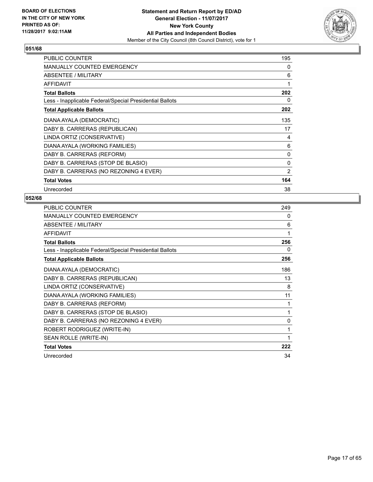

| <b>PUBLIC COUNTER</b>                                    | 195 |
|----------------------------------------------------------|-----|
| <b>MANUALLY COUNTED EMERGENCY</b>                        | 0   |
| ABSENTEE / MILITARY                                      | 6   |
| <b>AFFIDAVIT</b>                                         | 1   |
| <b>Total Ballots</b>                                     | 202 |
| Less - Inapplicable Federal/Special Presidential Ballots | 0   |
| <b>Total Applicable Ballots</b>                          | 202 |
| DIANA AYALA (DEMOCRATIC)                                 | 135 |
| DABY B. CARRERAS (REPUBLICAN)                            | 17  |
| LINDA ORTIZ (CONSERVATIVE)                               | 4   |
| DIANA AYALA (WORKING FAMILIES)                           | 6   |
| DABY B. CARRERAS (REFORM)                                | 0   |
| DABY B. CARRERAS (STOP DE BLASIO)                        | 0   |
| DABY B. CARRERAS (NO REZONING 4 EVER)                    | 2   |
| <b>Total Votes</b>                                       | 164 |
| Unrecorded                                               | 38  |

| <b>PUBLIC COUNTER</b>                                    | 249 |
|----------------------------------------------------------|-----|
| <b>MANUALLY COUNTED EMERGENCY</b>                        | 0   |
| ABSENTEE / MILITARY                                      | 6   |
| <b>AFFIDAVIT</b>                                         | 1   |
| <b>Total Ballots</b>                                     | 256 |
| Less - Inapplicable Federal/Special Presidential Ballots | 0   |
| <b>Total Applicable Ballots</b>                          | 256 |
| DIANA AYALA (DEMOCRATIC)                                 | 186 |
| DABY B. CARRERAS (REPUBLICAN)                            | 13  |
| LINDA ORTIZ (CONSERVATIVE)                               | 8   |
| DIANA AYALA (WORKING FAMILIES)                           | 11  |
| DABY B. CARRERAS (REFORM)                                | 1   |
| DABY B. CARRERAS (STOP DE BLASIO)                        | 1   |
| DABY B. CARRERAS (NO REZONING 4 EVER)                    | 0   |
| ROBERT RODRIGUEZ (WRITE-IN)                              | 1   |
| SEAN ROLLE (WRITE-IN)                                    | 1   |
| <b>Total Votes</b>                                       | 222 |
| Unrecorded                                               | 34  |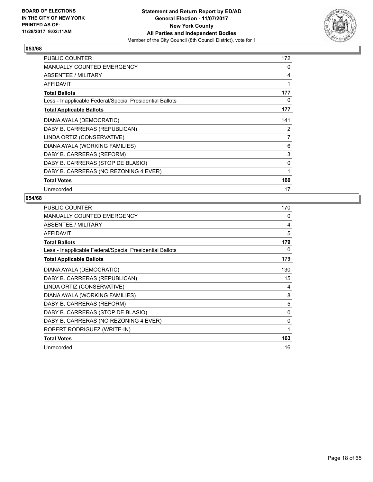

| <b>PUBLIC COUNTER</b>                                    | 172 |
|----------------------------------------------------------|-----|
| <b>MANUALLY COUNTED EMERGENCY</b>                        | 0   |
| ABSENTEE / MILITARY                                      | 4   |
| AFFIDAVIT                                                | 1   |
| <b>Total Ballots</b>                                     | 177 |
| Less - Inapplicable Federal/Special Presidential Ballots | 0   |
| <b>Total Applicable Ballots</b>                          | 177 |
| DIANA AYALA (DEMOCRATIC)                                 | 141 |
| DABY B. CARRERAS (REPUBLICAN)                            | 2   |
| LINDA ORTIZ (CONSERVATIVE)                               | 7   |
| DIANA AYALA (WORKING FAMILIES)                           | 6   |
| DABY B. CARRERAS (REFORM)                                | 3   |
| DABY B. CARRERAS (STOP DE BLASIO)                        | 0   |
| DABY B. CARRERAS (NO REZONING 4 EVER)                    | 1   |
| <b>Total Votes</b>                                       | 160 |
| Unrecorded                                               | 17  |

| <b>PUBLIC COUNTER</b>                                    | 170 |
|----------------------------------------------------------|-----|
| <b>MANUALLY COUNTED EMERGENCY</b>                        | 0   |
| ABSENTEE / MILITARY                                      | 4   |
| <b>AFFIDAVIT</b>                                         | 5   |
| <b>Total Ballots</b>                                     | 179 |
| Less - Inapplicable Federal/Special Presidential Ballots | 0   |
| <b>Total Applicable Ballots</b>                          | 179 |
| DIANA AYALA (DEMOCRATIC)                                 | 130 |
| DABY B. CARRERAS (REPUBLICAN)                            | 15  |
| LINDA ORTIZ (CONSERVATIVE)                               | 4   |
| DIANA AYALA (WORKING FAMILIES)                           | 8   |
| DABY B. CARRERAS (REFORM)                                | 5   |
| DABY B. CARRERAS (STOP DE BLASIO)                        | 0   |
| DABY B. CARRERAS (NO REZONING 4 EVER)                    | 0   |
| ROBERT RODRIGUEZ (WRITE-IN)                              | 1   |
| <b>Total Votes</b>                                       | 163 |
| Unrecorded                                               | 16  |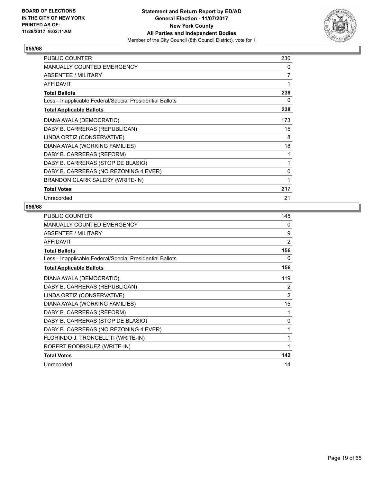

| <b>PUBLIC COUNTER</b>                                    | 230 |
|----------------------------------------------------------|-----|
| MANUALLY COUNTED EMERGENCY                               | 0   |
| ABSENTEE / MILITARY                                      | 7   |
| <b>AFFIDAVIT</b>                                         | 1   |
| <b>Total Ballots</b>                                     | 238 |
| Less - Inapplicable Federal/Special Presidential Ballots | 0   |
| <b>Total Applicable Ballots</b>                          | 238 |
| DIANA AYALA (DEMOCRATIC)                                 | 173 |
| DABY B. CARRERAS (REPUBLICAN)                            | 15  |
| LINDA ORTIZ (CONSERVATIVE)                               | 8   |
| DIANA AYALA (WORKING FAMILIES)                           | 18  |
| DABY B. CARRERAS (REFORM)                                | 1   |
| DABY B. CARRERAS (STOP DE BLASIO)                        | 1   |
| DABY B. CARRERAS (NO REZONING 4 EVER)                    | 0   |
| BRANDON CLARK SALERY (WRITE-IN)                          | 1   |
| <b>Total Votes</b>                                       | 217 |
| Unrecorded                                               | 21  |

| <b>PUBLIC COUNTER</b>                                    | 145            |
|----------------------------------------------------------|----------------|
| <b>MANUALLY COUNTED EMERGENCY</b>                        | 0              |
| ABSENTEE / MILITARY                                      | 9              |
| <b>AFFIDAVIT</b>                                         | $\overline{2}$ |
| <b>Total Ballots</b>                                     | 156            |
| Less - Inapplicable Federal/Special Presidential Ballots | 0              |
| <b>Total Applicable Ballots</b>                          | 156            |
| DIANA AYALA (DEMOCRATIC)                                 | 119            |
| DABY B. CARRERAS (REPUBLICAN)                            | 2              |
| LINDA ORTIZ (CONSERVATIVE)                               | 2              |
| DIANA AYALA (WORKING FAMILIES)                           | 15             |
| DABY B. CARRERAS (REFORM)                                | 1              |
| DABY B. CARRERAS (STOP DE BLASIO)                        | 0              |
| DABY B. CARRERAS (NO REZONING 4 EVER)                    | 1              |
| FLORINDO J. TRONCELLITI (WRITE-IN)                       | 1              |
| ROBERT RODRIGUEZ (WRITE-IN)                              | 1              |
| <b>Total Votes</b>                                       | 142            |
| Unrecorded                                               | 14             |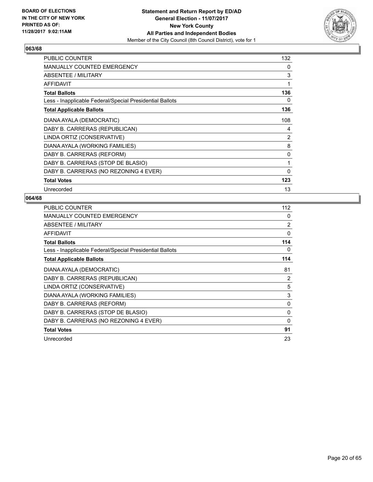

| <b>PUBLIC COUNTER</b>                                    | 132          |
|----------------------------------------------------------|--------------|
| <b>MANUALLY COUNTED EMERGENCY</b>                        | 0            |
| ABSENTEE / MILITARY                                      | 3            |
| <b>AFFIDAVIT</b>                                         | 1            |
| <b>Total Ballots</b>                                     | 136          |
| Less - Inapplicable Federal/Special Presidential Ballots | 0            |
| <b>Total Applicable Ballots</b>                          | 136          |
| DIANA AYALA (DEMOCRATIC)                                 | 108          |
| DABY B. CARRERAS (REPUBLICAN)                            | 4            |
| LINDA ORTIZ (CONSERVATIVE)                               | 2            |
| DIANA AYALA (WORKING FAMILIES)                           | 8            |
| DABY B. CARRERAS (REFORM)                                | 0            |
| DABY B. CARRERAS (STOP DE BLASIO)                        | 1            |
| DABY B. CARRERAS (NO REZONING 4 EVER)                    | $\mathbf{0}$ |
| <b>Total Votes</b>                                       | 123          |
| Unrecorded                                               | 13           |

| <b>PUBLIC COUNTER</b>                                    | 112            |
|----------------------------------------------------------|----------------|
| <b>MANUALLY COUNTED EMERGENCY</b>                        | 0              |
| ABSENTEE / MILITARY                                      | $\overline{2}$ |
| <b>AFFIDAVIT</b>                                         | $\Omega$       |
| <b>Total Ballots</b>                                     | 114            |
| Less - Inapplicable Federal/Special Presidential Ballots | 0              |
| <b>Total Applicable Ballots</b>                          | 114            |
| DIANA AYALA (DEMOCRATIC)                                 | 81             |
| DABY B. CARRERAS (REPUBLICAN)                            | 2              |
| LINDA ORTIZ (CONSERVATIVE)                               | 5              |
| DIANA AYALA (WORKING FAMILIES)                           | 3              |
| DABY B. CARRERAS (REFORM)                                | 0              |
| DABY B. CARRERAS (STOP DE BLASIO)                        | 0              |
| DABY B. CARRERAS (NO REZONING 4 EVER)                    | 0              |
| <b>Total Votes</b>                                       | 91             |
| Unrecorded                                               | 23             |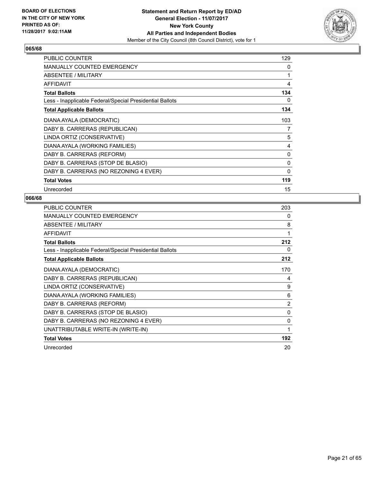

| <b>PUBLIC COUNTER</b>                                    | 129          |
|----------------------------------------------------------|--------------|
| <b>MANUALLY COUNTED EMERGENCY</b>                        | 0            |
| ABSENTEE / MILITARY                                      | 1            |
| <b>AFFIDAVIT</b>                                         | 4            |
| <b>Total Ballots</b>                                     | 134          |
| Less - Inapplicable Federal/Special Presidential Ballots | 0            |
| <b>Total Applicable Ballots</b>                          | 134          |
| DIANA AYALA (DEMOCRATIC)                                 | 103          |
| DABY B. CARRERAS (REPUBLICAN)                            | 7            |
| LINDA ORTIZ (CONSERVATIVE)                               | 5            |
| DIANA AYALA (WORKING FAMILIES)                           | 4            |
| DABY B. CARRERAS (REFORM)                                | 0            |
| DABY B. CARRERAS (STOP DE BLASIO)                        | 0            |
| DABY B. CARRERAS (NO REZONING 4 EVER)                    | $\mathbf{0}$ |
| <b>Total Votes</b>                                       | 119          |
| Unrecorded                                               | 15           |

| <b>PUBLIC COUNTER</b>                                    | 203            |
|----------------------------------------------------------|----------------|
| <b>MANUALLY COUNTED EMERGENCY</b>                        | 0              |
| ABSENTEE / MILITARY                                      | 8              |
| <b>AFFIDAVIT</b>                                         | 1              |
| <b>Total Ballots</b>                                     | 212            |
| Less - Inapplicable Federal/Special Presidential Ballots | 0              |
| <b>Total Applicable Ballots</b>                          | 212            |
| DIANA AYALA (DEMOCRATIC)                                 | 170            |
| DABY B. CARRERAS (REPUBLICAN)                            | 4              |
| LINDA ORTIZ (CONSERVATIVE)                               | 9              |
| DIANA AYALA (WORKING FAMILIES)                           | 6              |
| DABY B. CARRERAS (REFORM)                                | $\overline{2}$ |
| DABY B. CARRERAS (STOP DE BLASIO)                        | 0              |
| DABY B. CARRERAS (NO REZONING 4 EVER)                    | $\Omega$       |
| UNATTRIBUTABLE WRITE-IN (WRITE-IN)                       | 1              |
| <b>Total Votes</b>                                       | 192            |
| Unrecorded                                               | 20             |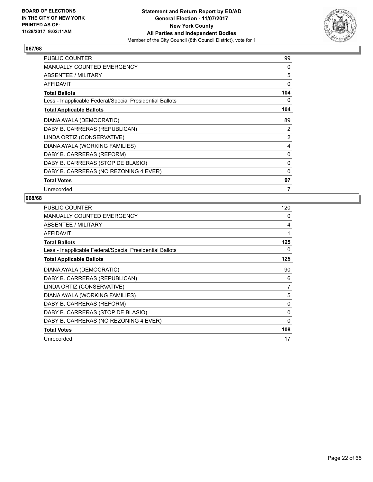

| <b>PUBLIC COUNTER</b>                                    | 99           |
|----------------------------------------------------------|--------------|
| <b>MANUALLY COUNTED EMERGENCY</b>                        | 0            |
| ABSENTEE / MILITARY                                      | 5            |
| <b>AFFIDAVIT</b>                                         | 0            |
| <b>Total Ballots</b>                                     | 104          |
| Less - Inapplicable Federal/Special Presidential Ballots | 0            |
| <b>Total Applicable Ballots</b>                          | 104          |
| DIANA AYALA (DEMOCRATIC)                                 | 89           |
| DABY B. CARRERAS (REPUBLICAN)                            | 2            |
| LINDA ORTIZ (CONSERVATIVE)                               | 2            |
| DIANA AYALA (WORKING FAMILIES)                           | 4            |
| DABY B. CARRERAS (REFORM)                                | $\mathbf{0}$ |
| DABY B. CARRERAS (STOP DE BLASIO)                        | 0            |
| DABY B. CARRERAS (NO REZONING 4 EVER)                    | 0            |
| <b>Total Votes</b>                                       | 97           |
| Unrecorded                                               | 7            |

| <b>PUBLIC COUNTER</b>                                    | 120          |
|----------------------------------------------------------|--------------|
| <b>MANUALLY COUNTED EMERGENCY</b>                        | 0            |
| ABSENTEE / MILITARY                                      | 4            |
| <b>AFFIDAVIT</b>                                         | 1            |
| <b>Total Ballots</b>                                     | 125          |
| Less - Inapplicable Federal/Special Presidential Ballots | 0            |
| <b>Total Applicable Ballots</b>                          | 125          |
| DIANA AYALA (DEMOCRATIC)                                 | 90           |
| DABY B. CARRERAS (REPUBLICAN)                            | 6            |
| LINDA ORTIZ (CONSERVATIVE)                               | 7            |
| DIANA AYALA (WORKING FAMILIES)                           | 5            |
| DABY B. CARRERAS (REFORM)                                | 0            |
| DABY B. CARRERAS (STOP DE BLASIO)                        | $\mathbf{0}$ |
| DABY B. CARRERAS (NO REZONING 4 EVER)                    | 0            |
| <b>Total Votes</b>                                       | 108          |
| Unrecorded                                               | 17           |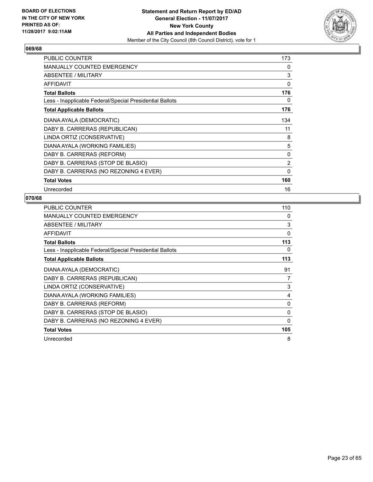

| <b>PUBLIC COUNTER</b>                                    | 173 |
|----------------------------------------------------------|-----|
| MANUALLY COUNTED EMERGENCY                               | 0   |
| ABSENTEE / MILITARY                                      | 3   |
| <b>AFFIDAVIT</b>                                         | 0   |
| <b>Total Ballots</b>                                     | 176 |
| Less - Inapplicable Federal/Special Presidential Ballots | 0   |
| <b>Total Applicable Ballots</b>                          | 176 |
| DIANA AYALA (DEMOCRATIC)                                 | 134 |
| DABY B. CARRERAS (REPUBLICAN)                            | 11  |
| LINDA ORTIZ (CONSERVATIVE)                               | 8   |
| DIANA AYALA (WORKING FAMILIES)                           | 5   |
| DABY B. CARRERAS (REFORM)                                | 0   |
| DABY B. CARRERAS (STOP DE BLASIO)                        | 2   |
| DABY B. CARRERAS (NO REZONING 4 EVER)                    | 0   |
| <b>Total Votes</b>                                       | 160 |
| Unrecorded                                               | 16  |

| <b>PUBLIC COUNTER</b>                                    | 110          |
|----------------------------------------------------------|--------------|
| <b>MANUALLY COUNTED EMERGENCY</b>                        | 0            |
| ABSENTEE / MILITARY                                      | 3            |
| <b>AFFIDAVIT</b>                                         | 0            |
| <b>Total Ballots</b>                                     | 113          |
| Less - Inapplicable Federal/Special Presidential Ballots | 0            |
| <b>Total Applicable Ballots</b>                          | 113          |
| DIANA AYALA (DEMOCRATIC)                                 | 91           |
| DABY B. CARRERAS (REPUBLICAN)                            | 7            |
| LINDA ORTIZ (CONSERVATIVE)                               | 3            |
| DIANA AYALA (WORKING FAMILIES)                           | 4            |
| DABY B. CARRERAS (REFORM)                                | 0            |
| DABY B. CARRERAS (STOP DE BLASIO)                        | $\mathbf{0}$ |
| DABY B. CARRERAS (NO REZONING 4 EVER)                    | 0            |
| <b>Total Votes</b>                                       | 105          |
| Unrecorded                                               | 8            |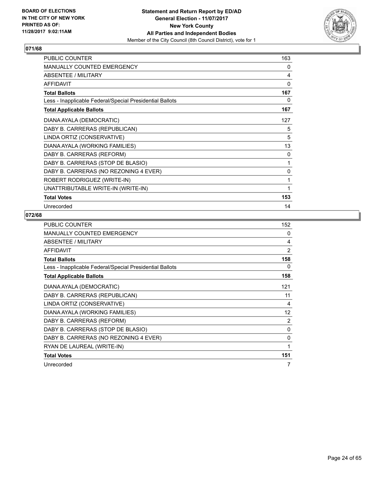

| <b>PUBLIC COUNTER</b>                                    | 163 |
|----------------------------------------------------------|-----|
| <b>MANUALLY COUNTED EMERGENCY</b>                        | 0   |
| ABSENTEE / MILITARY                                      | 4   |
| <b>AFFIDAVIT</b>                                         | 0   |
| <b>Total Ballots</b>                                     | 167 |
| Less - Inapplicable Federal/Special Presidential Ballots | 0   |
| <b>Total Applicable Ballots</b>                          | 167 |
| DIANA AYALA (DEMOCRATIC)                                 | 127 |
| DABY B. CARRERAS (REPUBLICAN)                            | 5   |
| LINDA ORTIZ (CONSERVATIVE)                               | 5   |
| DIANA AYALA (WORKING FAMILIES)                           | 13  |
| DABY B. CARRERAS (REFORM)                                | 0   |
| DABY B. CARRERAS (STOP DE BLASIO)                        | 1   |
| DABY B. CARRERAS (NO REZONING 4 EVER)                    | 0   |
| ROBERT RODRIGUEZ (WRITE-IN)                              | 1   |
| UNATTRIBUTABLE WRITE-IN (WRITE-IN)                       | 1   |
| <b>Total Votes</b>                                       | 153 |
| Unrecorded                                               | 14  |

| <b>PUBLIC COUNTER</b>                                    | 152 |
|----------------------------------------------------------|-----|
| <b>MANUALLY COUNTED EMERGENCY</b>                        | 0   |
| ABSENTEE / MILITARY                                      | 4   |
| <b>AFFIDAVIT</b>                                         | 2   |
| <b>Total Ballots</b>                                     | 158 |
| Less - Inapplicable Federal/Special Presidential Ballots | 0   |
| <b>Total Applicable Ballots</b>                          | 158 |
| DIANA AYALA (DEMOCRATIC)                                 | 121 |
| DABY B. CARRERAS (REPUBLICAN)                            | 11  |
| LINDA ORTIZ (CONSERVATIVE)                               | 4   |
| DIANA AYALA (WORKING FAMILIES)                           | 12  |
| DABY B. CARRERAS (REFORM)                                | 2   |
| DABY B. CARRERAS (STOP DE BLASIO)                        | 0   |
| DABY B. CARRERAS (NO REZONING 4 EVER)                    | 0   |
| RYAN DE LAUREAL (WRITE-IN)                               | 1   |
| <b>Total Votes</b>                                       | 151 |
| Unrecorded                                               | 7   |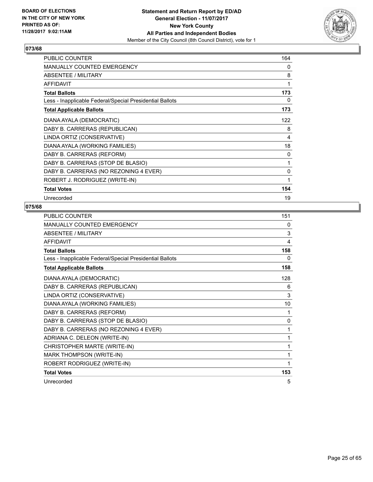

| <b>PUBLIC COUNTER</b>                                    | 164 |
|----------------------------------------------------------|-----|
| <b>MANUALLY COUNTED EMERGENCY</b>                        | 0   |
| ABSENTEE / MILITARY                                      | 8   |
| <b>AFFIDAVIT</b>                                         | 1   |
| <b>Total Ballots</b>                                     | 173 |
| Less - Inapplicable Federal/Special Presidential Ballots | 0   |
| <b>Total Applicable Ballots</b>                          | 173 |
| DIANA AYALA (DEMOCRATIC)                                 | 122 |
| DABY B. CARRERAS (REPUBLICAN)                            | 8   |
| LINDA ORTIZ (CONSERVATIVE)                               | 4   |
| DIANA AYALA (WORKING FAMILIES)                           | 18  |
| DABY B. CARRERAS (REFORM)                                | 0   |
| DABY B. CARRERAS (STOP DE BLASIO)                        | 1   |
| DABY B. CARRERAS (NO REZONING 4 EVER)                    | 0   |
| ROBERT J. RODRIGUEZ (WRITE-IN)                           | 1   |
| <b>Total Votes</b>                                       | 154 |
| Unrecorded                                               | 19  |

| <b>PUBLIC COUNTER</b>                                    | 151          |
|----------------------------------------------------------|--------------|
| MANUALLY COUNTED EMERGENCY                               | 0            |
| <b>ABSENTEE / MILITARY</b>                               | 3            |
| <b>AFFIDAVIT</b>                                         | 4            |
| <b>Total Ballots</b>                                     | 158          |
| Less - Inapplicable Federal/Special Presidential Ballots | 0            |
| <b>Total Applicable Ballots</b>                          | 158          |
| DIANA AYALA (DEMOCRATIC)                                 | 128          |
| DABY B. CARRERAS (REPUBLICAN)                            | 6            |
| LINDA ORTIZ (CONSERVATIVE)                               | 3            |
| DIANA AYALA (WORKING FAMILIES)                           | 10           |
| DABY B. CARRERAS (REFORM)                                | 1            |
| DABY B. CARRERAS (STOP DE BLASIO)                        | $\mathbf{0}$ |
| DABY B. CARRERAS (NO REZONING 4 EVER)                    | 1            |
| ADRIANA C. DELEON (WRITE-IN)                             | 1            |
| CHRISTOPHER MARTE (WRITE-IN)                             | 1            |
| <b>MARK THOMPSON (WRITE-IN)</b>                          | 1            |
| ROBERT RODRIGUEZ (WRITE-IN)                              | 1            |
| <b>Total Votes</b>                                       | 153          |
| Unrecorded                                               | 5            |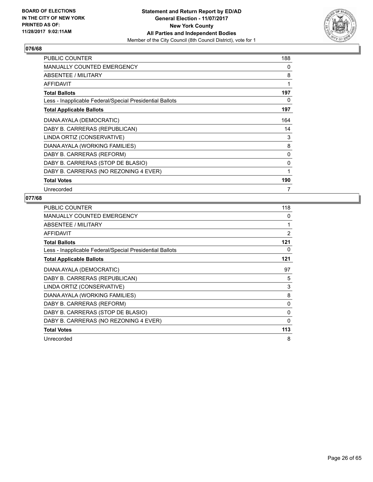

| <b>PUBLIC COUNTER</b>                                    | 188 |
|----------------------------------------------------------|-----|
| <b>MANUALLY COUNTED EMERGENCY</b>                        | 0   |
| ABSENTEE / MILITARY                                      | 8   |
| <b>AFFIDAVIT</b>                                         | 1   |
| <b>Total Ballots</b>                                     | 197 |
| Less - Inapplicable Federal/Special Presidential Ballots | 0   |
| <b>Total Applicable Ballots</b>                          | 197 |
| DIANA AYALA (DEMOCRATIC)                                 | 164 |
| DABY B. CARRERAS (REPUBLICAN)                            | 14  |
| LINDA ORTIZ (CONSERVATIVE)                               | 3   |
| DIANA AYALA (WORKING FAMILIES)                           | 8   |
| DABY B. CARRERAS (REFORM)                                | 0   |
| DABY B. CARRERAS (STOP DE BLASIO)                        | 0   |
| DABY B. CARRERAS (NO REZONING 4 EVER)                    | 1   |
| <b>Total Votes</b>                                       | 190 |
| Unrecorded                                               | 7   |

| <b>PUBLIC COUNTER</b>                                    | 118 |
|----------------------------------------------------------|-----|
| <b>MANUALLY COUNTED EMERGENCY</b>                        | 0   |
| ABSENTEE / MILITARY                                      | 1   |
| <b>AFFIDAVIT</b>                                         | 2   |
| <b>Total Ballots</b>                                     | 121 |
| Less - Inapplicable Federal/Special Presidential Ballots | 0   |
| <b>Total Applicable Ballots</b>                          | 121 |
| DIANA AYALA (DEMOCRATIC)                                 | 97  |
| DABY B. CARRERAS (REPUBLICAN)                            | 5   |
| LINDA ORTIZ (CONSERVATIVE)                               | 3   |
| DIANA AYALA (WORKING FAMILIES)                           | 8   |
| DABY B. CARRERAS (REFORM)                                | 0   |
| DABY B. CARRERAS (STOP DE BLASIO)                        | 0   |
| DABY B. CARRERAS (NO REZONING 4 EVER)                    | 0   |
| <b>Total Votes</b>                                       | 113 |
| Unrecorded                                               | 8   |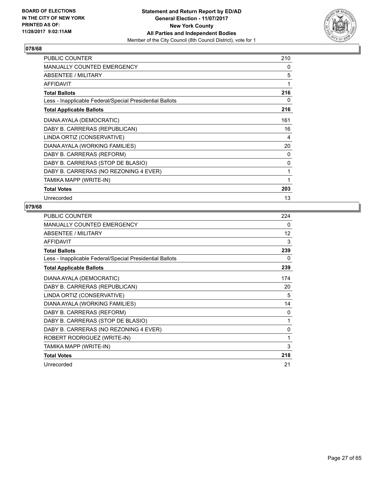

| PUBLIC COUNTER                                           | 210 |
|----------------------------------------------------------|-----|
| <b>MANUALLY COUNTED EMERGENCY</b>                        | 0   |
| <b>ABSENTEE / MILITARY</b>                               | 5   |
| <b>AFFIDAVIT</b>                                         | 1   |
| <b>Total Ballots</b>                                     | 216 |
| Less - Inapplicable Federal/Special Presidential Ballots | 0   |
| <b>Total Applicable Ballots</b>                          | 216 |
| DIANA AYALA (DEMOCRATIC)                                 | 161 |
| DABY B. CARRERAS (REPUBLICAN)                            | 16  |
| LINDA ORTIZ (CONSERVATIVE)                               | 4   |
| DIANA AYALA (WORKING FAMILIES)                           | 20  |
| DABY B. CARRERAS (REFORM)                                | 0   |
| DABY B. CARRERAS (STOP DE BLASIO)                        | 0   |
| DABY B. CARRERAS (NO REZONING 4 EVER)                    | 1   |
| TAMIKA MAPP (WRITE-IN)                                   | 1   |
| <b>Total Votes</b>                                       | 203 |
| Unrecorded                                               | 13  |

| PUBLIC COUNTER                                           | 224 |
|----------------------------------------------------------|-----|
| <b>MANUALLY COUNTED EMERGENCY</b>                        | 0   |
| ABSENTEE / MILITARY                                      | 12  |
| <b>AFFIDAVIT</b>                                         | 3   |
| <b>Total Ballots</b>                                     | 239 |
| Less - Inapplicable Federal/Special Presidential Ballots | 0   |
| <b>Total Applicable Ballots</b>                          | 239 |
| DIANA AYALA (DEMOCRATIC)                                 | 174 |
| DABY B. CARRERAS (REPUBLICAN)                            | 20  |
| LINDA ORTIZ (CONSERVATIVE)                               | 5   |
| DIANA AYALA (WORKING FAMILIES)                           | 14  |
| DABY B. CARRERAS (REFORM)                                | 0   |
| DABY B. CARRERAS (STOP DE BLASIO)                        | 1   |
| DABY B. CARRERAS (NO REZONING 4 EVER)                    | 0   |
| ROBERT RODRIGUEZ (WRITE-IN)                              | 1   |
| TAMIKA MAPP (WRITE-IN)                                   | 3   |
| <b>Total Votes</b>                                       | 218 |
| Unrecorded                                               | 21  |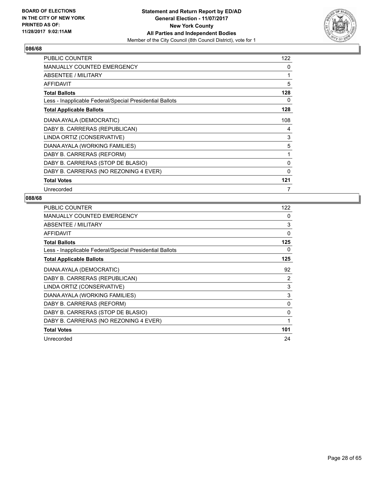

| <b>PUBLIC COUNTER</b>                                    | 122          |
|----------------------------------------------------------|--------------|
| <b>MANUALLY COUNTED EMERGENCY</b>                        | 0            |
| ABSENTEE / MILITARY                                      | 1            |
| <b>AFFIDAVIT</b>                                         | 5            |
| <b>Total Ballots</b>                                     | 128          |
| Less - Inapplicable Federal/Special Presidential Ballots | 0            |
| <b>Total Applicable Ballots</b>                          | 128          |
| DIANA AYALA (DEMOCRATIC)                                 | 108          |
| DABY B. CARRERAS (REPUBLICAN)                            | 4            |
| LINDA ORTIZ (CONSERVATIVE)                               | 3            |
| DIANA AYALA (WORKING FAMILIES)                           | 5            |
| DABY B. CARRERAS (REFORM)                                | 1            |
| DABY B. CARRERAS (STOP DE BLASIO)                        | 0            |
| DABY B. CARRERAS (NO REZONING 4 EVER)                    | $\mathbf{0}$ |
| <b>Total Votes</b>                                       | 121          |
| Unrecorded                                               | 7            |

| <b>PUBLIC COUNTER</b>                                    | 122            |
|----------------------------------------------------------|----------------|
| MANUALLY COUNTED EMERGENCY                               | 0              |
| ABSENTEE / MILITARY                                      | 3              |
| AFFIDAVIT                                                | 0              |
| <b>Total Ballots</b>                                     | 125            |
| Less - Inapplicable Federal/Special Presidential Ballots | 0              |
| <b>Total Applicable Ballots</b>                          | 125            |
| DIANA AYALA (DEMOCRATIC)                                 | 92             |
| DABY B. CARRERAS (REPUBLICAN)                            | $\overline{2}$ |
| LINDA ORTIZ (CONSERVATIVE)                               | 3              |
| DIANA AYALA (WORKING FAMILIES)                           | 3              |
| DABY B. CARRERAS (REFORM)                                | 0              |
| DABY B. CARRERAS (STOP DE BLASIO)                        | $\Omega$       |
| DABY B. CARRERAS (NO REZONING 4 EVER)                    | 1              |
| <b>Total Votes</b>                                       | 101            |
| Unrecorded                                               | 24             |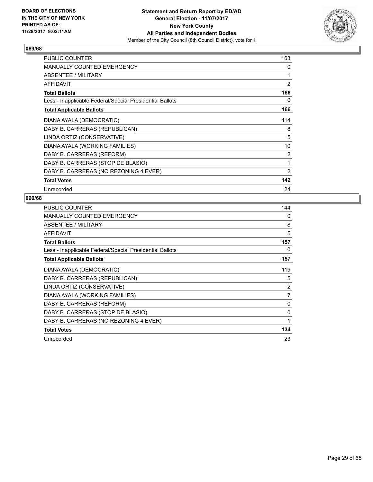

| <b>PUBLIC COUNTER</b>                                    | 163            |
|----------------------------------------------------------|----------------|
| <b>MANUALLY COUNTED EMERGENCY</b>                        | 0              |
| ABSENTEE / MILITARY                                      | 1              |
| <b>AFFIDAVIT</b>                                         | $\overline{2}$ |
| <b>Total Ballots</b>                                     | 166            |
| Less - Inapplicable Federal/Special Presidential Ballots | 0              |
| <b>Total Applicable Ballots</b>                          | 166            |
| DIANA AYALA (DEMOCRATIC)                                 | 114            |
| DABY B. CARRERAS (REPUBLICAN)                            | 8              |
| LINDA ORTIZ (CONSERVATIVE)                               | 5              |
| DIANA AYALA (WORKING FAMILIES)                           | 10             |
| DABY B. CARRERAS (REFORM)                                | 2              |
| DABY B. CARRERAS (STOP DE BLASIO)                        | 1              |
| DABY B. CARRERAS (NO REZONING 4 EVER)                    | 2              |
| <b>Total Votes</b>                                       | 142            |
| Unrecorded                                               | 24             |

| <b>PUBLIC COUNTER</b>                                    | 144            |
|----------------------------------------------------------|----------------|
| <b>MANUALLY COUNTED EMERGENCY</b>                        | 0              |
| ABSENTEE / MILITARY                                      | 8              |
| AFFIDAVIT                                                | 5              |
| <b>Total Ballots</b>                                     | 157            |
| Less - Inapplicable Federal/Special Presidential Ballots | 0              |
| <b>Total Applicable Ballots</b>                          | 157            |
| DIANA AYALA (DEMOCRATIC)                                 | 119            |
| DABY B. CARRERAS (REPUBLICAN)                            | 5              |
| LINDA ORTIZ (CONSERVATIVE)                               | 2              |
| DIANA AYALA (WORKING FAMILIES)                           | $\overline{7}$ |
| DABY B. CARRERAS (REFORM)                                | 0              |
| DABY B. CARRERAS (STOP DE BLASIO)                        | 0              |
| DABY B. CARRERAS (NO REZONING 4 EVER)                    | $\mathbf{1}$   |
| <b>Total Votes</b>                                       | 134            |
| Unrecorded                                               | 23             |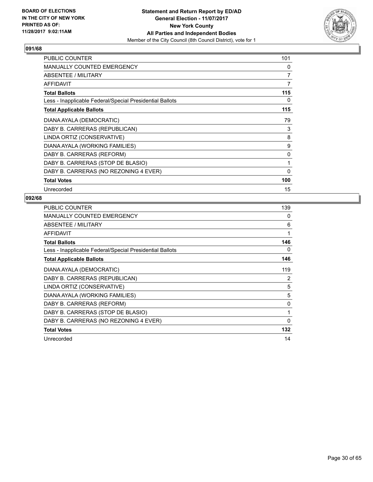

| <b>PUBLIC COUNTER</b>                                    | 101 |
|----------------------------------------------------------|-----|
| <b>MANUALLY COUNTED EMERGENCY</b>                        | 0   |
| ABSENTEE / MILITARY                                      | 7   |
| <b>AFFIDAVIT</b>                                         | 7   |
| <b>Total Ballots</b>                                     | 115 |
| Less - Inapplicable Federal/Special Presidential Ballots | 0   |
| <b>Total Applicable Ballots</b>                          | 115 |
| DIANA AYALA (DEMOCRATIC)                                 | 79  |
| DABY B. CARRERAS (REPUBLICAN)                            | 3   |
| LINDA ORTIZ (CONSERVATIVE)                               | 8   |
| DIANA AYALA (WORKING FAMILIES)                           | 9   |
| DABY B. CARRERAS (REFORM)                                | 0   |
| DABY B. CARRERAS (STOP DE BLASIO)                        | 1   |
| DABY B. CARRERAS (NO REZONING 4 EVER)                    | 0   |
| <b>Total Votes</b>                                       | 100 |
| Unrecorded                                               | 15  |

| <b>PUBLIC COUNTER</b>                                    | 139 |
|----------------------------------------------------------|-----|
| <b>MANUALLY COUNTED EMERGENCY</b>                        | 0   |
| ABSENTEE / MILITARY                                      | 6   |
| AFFIDAVIT                                                | 1   |
| <b>Total Ballots</b>                                     | 146 |
| Less - Inapplicable Federal/Special Presidential Ballots | 0   |
| <b>Total Applicable Ballots</b>                          | 146 |
| DIANA AYALA (DEMOCRATIC)                                 | 119 |
| DABY B. CARRERAS (REPUBLICAN)                            | 2   |
| LINDA ORTIZ (CONSERVATIVE)                               | 5   |
| DIANA AYALA (WORKING FAMILIES)                           | 5   |
| DABY B. CARRERAS (REFORM)                                | 0   |
| DABY B. CARRERAS (STOP DE BLASIO)                        | 1   |
| DABY B. CARRERAS (NO REZONING 4 EVER)                    | 0   |
| <b>Total Votes</b>                                       | 132 |
| Unrecorded                                               | 14  |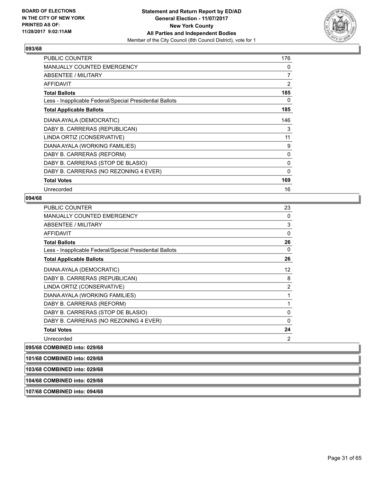

| <b>PUBLIC COUNTER</b>                                    | 176 |
|----------------------------------------------------------|-----|
| <b>MANUALLY COUNTED EMERGENCY</b>                        | 0   |
| ABSENTEE / MILITARY                                      | 7   |
| <b>AFFIDAVIT</b>                                         | 2   |
| <b>Total Ballots</b>                                     | 185 |
| Less - Inapplicable Federal/Special Presidential Ballots | 0   |
| <b>Total Applicable Ballots</b>                          | 185 |
| DIANA AYALA (DEMOCRATIC)                                 | 146 |
| DABY B. CARRERAS (REPUBLICAN)                            | 3   |
| LINDA ORTIZ (CONSERVATIVE)                               | 11  |
| DIANA AYALA (WORKING FAMILIES)                           | 9   |
| DABY B. CARRERAS (REFORM)                                | 0   |
| DABY B. CARRERAS (STOP DE BLASIO)                        | 0   |
| DABY B. CARRERAS (NO REZONING 4 EVER)                    | 0   |
| <b>Total Votes</b>                                       | 169 |
| Unrecorded                                               | 16  |

#### **094/68**

| PUBLIC COUNTER                                           | 23       |
|----------------------------------------------------------|----------|
| MANUALLY COUNTED EMERGENCY                               | 0        |
| <b>ABSENTEE / MILITARY</b>                               | 3        |
| <b>AFFIDAVIT</b>                                         | 0        |
| <b>Total Ballots</b>                                     | 26       |
| Less - Inapplicable Federal/Special Presidential Ballots | 0        |
| <b>Total Applicable Ballots</b>                          | 26       |
| DIANA AYALA (DEMOCRATIC)                                 | 12       |
| DABY B. CARRERAS (REPUBLICAN)                            | 8        |
| LINDA ORTIZ (CONSERVATIVE)                               | 2        |
| DIANA AYALA (WORKING FAMILIES)                           | 1        |
| DABY B. CARRERAS (REFORM)                                | 1        |
| DABY B. CARRERAS (STOP DE BLASIO)                        | 0        |
| DABY B. CARRERAS (NO REZONING 4 EVER)                    | $\Omega$ |
| <b>Total Votes</b>                                       | 24       |
| Unrecorded                                               | 2        |
|                                                          |          |

# **095/68 COMBINED into: 029/68**

| 101/68 COMBINED into: 029/68 |  |
|------------------------------|--|
|                              |  |
| 103/68 COMBINED into: 029/68 |  |

# **104/68 COMBINED into: 029/68**

**107/68 COMBINED into: 094/68**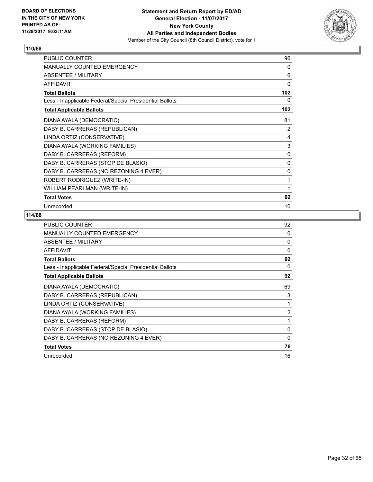

| <b>PUBLIC COUNTER</b>                                    | 96  |
|----------------------------------------------------------|-----|
| <b>MANUALLY COUNTED EMERGENCY</b>                        | 0   |
| ABSENTEE / MILITARY                                      | 6   |
| <b>AFFIDAVIT</b>                                         | 0   |
| <b>Total Ballots</b>                                     | 102 |
| Less - Inapplicable Federal/Special Presidential Ballots | 0   |
| <b>Total Applicable Ballots</b>                          | 102 |
| DIANA AYALA (DEMOCRATIC)                                 | 81  |
| DABY B. CARRERAS (REPUBLICAN)                            | 2   |
| LINDA ORTIZ (CONSERVATIVE)                               | 4   |
| DIANA AYALA (WORKING FAMILIES)                           | 3   |
| DABY B. CARRERAS (REFORM)                                | 0   |
| DABY B. CARRERAS (STOP DE BLASIO)                        | 0   |
| DABY B. CARRERAS (NO REZONING 4 EVER)                    | 0   |
| ROBERT RODRIGUEZ (WRITE-IN)                              | 1   |
| WILLIAM PEARLMAN (WRITE-IN)                              | 1   |
| <b>Total Votes</b>                                       | 92  |
| Unrecorded                                               | 10  |

| <b>PUBLIC COUNTER</b>                                    | 92             |
|----------------------------------------------------------|----------------|
| <b>MANUALLY COUNTED EMERGENCY</b>                        | 0              |
| ABSENTEE / MILITARY                                      | 0              |
| <b>AFFIDAVIT</b>                                         | $\Omega$       |
| <b>Total Ballots</b>                                     | 92             |
| Less - Inapplicable Federal/Special Presidential Ballots | 0              |
| <b>Total Applicable Ballots</b>                          | 92             |
| DIANA AYALA (DEMOCRATIC)                                 | 69             |
| DABY B. CARRERAS (REPUBLICAN)                            | 3              |
| LINDA ORTIZ (CONSERVATIVE)                               | 1              |
| DIANA AYALA (WORKING FAMILIES)                           | $\overline{2}$ |
| DABY B. CARRERAS (REFORM)                                | 1              |
| DABY B. CARRERAS (STOP DE BLASIO)                        | $\mathbf{0}$   |
| DABY B. CARRERAS (NO REZONING 4 EVER)                    | 0              |
| <b>Total Votes</b>                                       | 76             |
| Unrecorded                                               | 16             |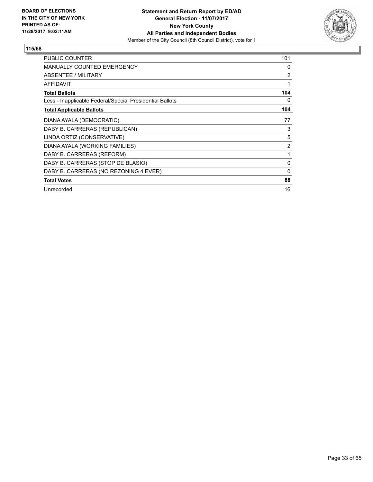

| PUBLIC COUNTER                                           | 101            |
|----------------------------------------------------------|----------------|
| <b>MANUALLY COUNTED EMERGENCY</b>                        | 0              |
| <b>ABSENTEE / MILITARY</b>                               | $\overline{2}$ |
| AFFIDAVIT                                                | 1              |
| <b>Total Ballots</b>                                     | 104            |
| Less - Inapplicable Federal/Special Presidential Ballots | 0              |
| <b>Total Applicable Ballots</b>                          | 104            |
| DIANA AYALA (DEMOCRATIC)                                 | 77             |
| DABY B. CARRERAS (REPUBLICAN)                            | 3              |
| LINDA ORTIZ (CONSERVATIVE)                               | 5              |
| DIANA AYALA (WORKING FAMILIES)                           | $\overline{2}$ |
| DABY B. CARRERAS (REFORM)                                | 1              |
| DABY B. CARRERAS (STOP DE BLASIO)                        | 0              |
| DABY B. CARRERAS (NO REZONING 4 EVER)                    | 0              |
| <b>Total Votes</b>                                       | 88             |
| Unrecorded                                               | 16             |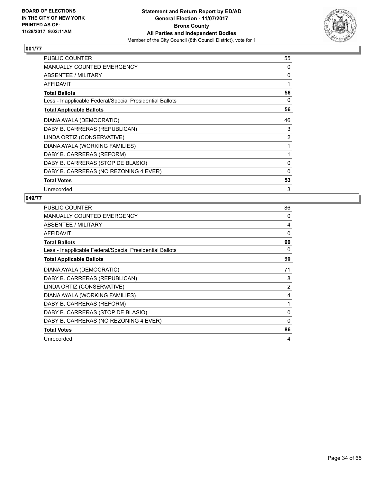

| <b>PUBLIC COUNTER</b>                                    | 55             |
|----------------------------------------------------------|----------------|
| <b>MANUALLY COUNTED EMERGENCY</b>                        | 0              |
| ABSENTEE / MILITARY                                      | 0              |
| AFFIDAVIT                                                | 1              |
| <b>Total Ballots</b>                                     | 56             |
| Less - Inapplicable Federal/Special Presidential Ballots | 0              |
| <b>Total Applicable Ballots</b>                          | 56             |
| DIANA AYALA (DEMOCRATIC)                                 | 46             |
| DABY B. CARRERAS (REPUBLICAN)                            | 3              |
| LINDA ORTIZ (CONSERVATIVE)                               | $\overline{2}$ |
| DIANA AYALA (WORKING FAMILIES)                           | 1              |
| DABY B. CARRERAS (REFORM)                                | 1              |
| DABY B. CARRERAS (STOP DE BLASIO)                        | 0              |
| DABY B. CARRERAS (NO REZONING 4 EVER)                    | $\mathbf 0$    |
| <b>Total Votes</b>                                       | 53             |
| Unrecorded                                               | 3              |

| <b>PUBLIC COUNTER</b>                                    | 86       |
|----------------------------------------------------------|----------|
| <b>MANUALLY COUNTED EMERGENCY</b>                        | 0        |
| ABSENTEE / MILITARY                                      | 4        |
| <b>AFFIDAVIT</b>                                         | $\Omega$ |
| <b>Total Ballots</b>                                     | 90       |
| Less - Inapplicable Federal/Special Presidential Ballots | 0        |
| <b>Total Applicable Ballots</b>                          | 90       |
| DIANA AYALA (DEMOCRATIC)                                 | 71       |
| DABY B. CARRERAS (REPUBLICAN)                            | 8        |
| LINDA ORTIZ (CONSERVATIVE)                               | 2        |
| DIANA AYALA (WORKING FAMILIES)                           | 4        |
| DABY B. CARRERAS (REFORM)                                | 1        |
| DABY B. CARRERAS (STOP DE BLASIO)                        | 0        |
| DABY B. CARRERAS (NO REZONING 4 EVER)                    | 0        |
| <b>Total Votes</b>                                       | 86       |
| Unrecorded                                               | 4        |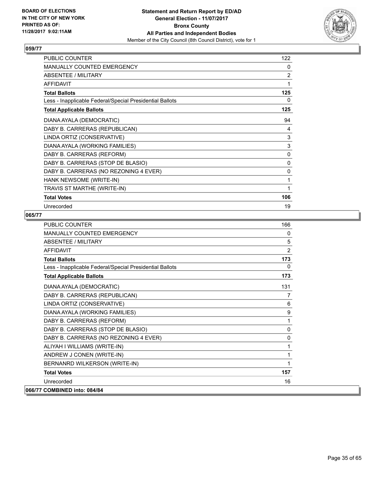

| <b>PUBLIC COUNTER</b>                                    | 122 |
|----------------------------------------------------------|-----|
| <b>MANUALLY COUNTED EMERGENCY</b>                        | 0   |
| ABSENTEE / MILITARY                                      | 2   |
| <b>AFFIDAVIT</b>                                         | 1   |
| <b>Total Ballots</b>                                     | 125 |
| Less - Inapplicable Federal/Special Presidential Ballots | 0   |
| <b>Total Applicable Ballots</b>                          | 125 |
| DIANA AYALA (DEMOCRATIC)                                 | 94  |
| DABY B. CARRERAS (REPUBLICAN)                            | 4   |
| LINDA ORTIZ (CONSERVATIVE)                               | 3   |
| DIANA AYALA (WORKING FAMILIES)                           | 3   |
| DABY B. CARRERAS (REFORM)                                | 0   |
| DABY B. CARRERAS (STOP DE BLASIO)                        | 0   |
| DABY B. CARRERAS (NO REZONING 4 EVER)                    | 0   |
| HANK NEWSOME (WRITE-IN)                                  | 1   |
| TRAVIS ST MARTHE (WRITE-IN)                              | 1   |
| <b>Total Votes</b>                                       | 106 |
| Unrecorded                                               | 19  |

| <b>PUBLIC COUNTER</b>                                    | 166 |
|----------------------------------------------------------|-----|
| MANUALLY COUNTED EMERGENCY                               | 0   |
| <b>ABSENTEE / MILITARY</b>                               | 5   |
| <b>AFFIDAVIT</b>                                         | 2   |
| <b>Total Ballots</b>                                     | 173 |
| Less - Inapplicable Federal/Special Presidential Ballots | 0   |
| <b>Total Applicable Ballots</b>                          | 173 |
| DIANA AYALA (DEMOCRATIC)                                 | 131 |
| DABY B. CARRERAS (REPUBLICAN)                            | 7   |
| LINDA ORTIZ (CONSERVATIVE)                               | 6   |
| DIANA AYALA (WORKING FAMILIES)                           | 9   |
| DABY B. CARRERAS (REFORM)                                | 1   |
| DABY B. CARRERAS (STOP DE BLASIO)                        | 0   |
| DABY B. CARRERAS (NO REZONING 4 EVER)                    | 0   |
| ALIYAH I WILLIAMS (WRITE-IN)                             | 1   |
| ANDREW J CONEN (WRITE-IN)                                | 1   |
| BERNANRD WILKERSON (WRITE-IN)                            | 1   |
| <b>Total Votes</b>                                       | 157 |
| Unrecorded                                               | 16  |
| 066/77 COMBINED into: 084/84                             |     |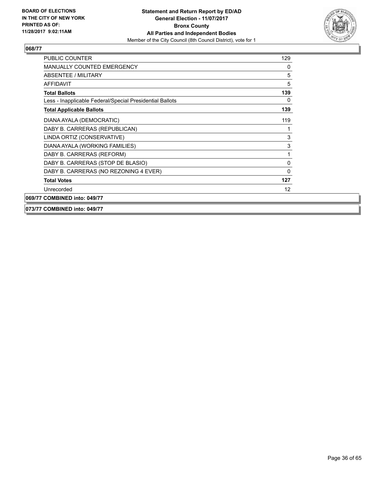

| <b>PUBLIC COUNTER</b>                                    | 129      |
|----------------------------------------------------------|----------|
| <b>MANUALLY COUNTED EMERGENCY</b>                        | 0        |
| <b>ABSENTEE / MILITARY</b>                               | 5        |
| <b>AFFIDAVIT</b>                                         | 5        |
| <b>Total Ballots</b>                                     | 139      |
| Less - Inapplicable Federal/Special Presidential Ballots | 0        |
| <b>Total Applicable Ballots</b>                          | 139      |
| DIANA AYALA (DEMOCRATIC)                                 | 119      |
| DABY B. CARRERAS (REPUBLICAN)                            |          |
| LINDA ORTIZ (CONSERVATIVE)                               | 3        |
| DIANA AYALA (WORKING FAMILIES)                           | 3        |
| DABY B. CARRERAS (REFORM)                                | 1        |
| DABY B. CARRERAS (STOP DE BLASIO)                        | 0        |
| DABY B. CARRERAS (NO REZONING 4 EVER)                    | $\Omega$ |
| <b>Total Votes</b>                                       | 127      |
| Unrecorded                                               | 12       |
| 069/77 COMBINED into: 049/77                             |          |

#### **073/77 COMBINED into: 049/77**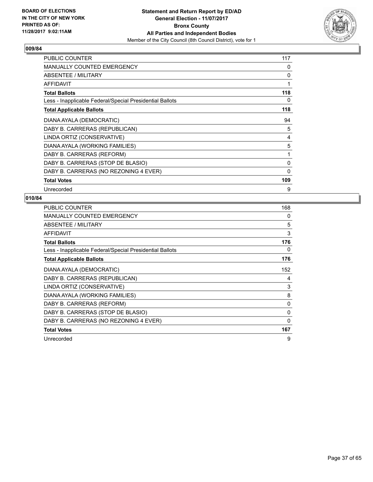

| <b>PUBLIC COUNTER</b>                                    | 117 |
|----------------------------------------------------------|-----|
| <b>MANUALLY COUNTED EMERGENCY</b>                        | 0   |
| ABSENTEE / MILITARY                                      | 0   |
| <b>AFFIDAVIT</b>                                         | 1   |
| <b>Total Ballots</b>                                     | 118 |
| Less - Inapplicable Federal/Special Presidential Ballots | 0   |
| <b>Total Applicable Ballots</b>                          | 118 |
| DIANA AYALA (DEMOCRATIC)                                 | 94  |
| DABY B. CARRERAS (REPUBLICAN)                            | 5   |
| LINDA ORTIZ (CONSERVATIVE)                               | 4   |
| DIANA AYALA (WORKING FAMILIES)                           | 5   |
| DABY B. CARRERAS (REFORM)                                | 1   |
| DABY B. CARRERAS (STOP DE BLASIO)                        | 0   |
| DABY B. CARRERAS (NO REZONING 4 EVER)                    | 0   |
| <b>Total Votes</b>                                       | 109 |
| Unrecorded                                               | 9   |

| <b>PUBLIC COUNTER</b>                                    | 168         |
|----------------------------------------------------------|-------------|
| MANUALLY COUNTED EMERGENCY                               | 0           |
| ABSENTEE / MILITARY                                      | 5           |
| <b>AFFIDAVIT</b>                                         | 3           |
| <b>Total Ballots</b>                                     | 176         |
| Less - Inapplicable Federal/Special Presidential Ballots | 0           |
| <b>Total Applicable Ballots</b>                          | 176         |
| DIANA AYALA (DEMOCRATIC)                                 | 152         |
| DABY B. CARRERAS (REPUBLICAN)                            | 4           |
| LINDA ORTIZ (CONSERVATIVE)                               | 3           |
| DIANA AYALA (WORKING FAMILIES)                           | 8           |
| DABY B. CARRERAS (REFORM)                                | 0           |
| DABY B. CARRERAS (STOP DE BLASIO)                        | 0           |
| DABY B. CARRERAS (NO REZONING 4 EVER)                    | $\mathbf 0$ |
| <b>Total Votes</b>                                       | 167         |
| Unrecorded                                               | 9           |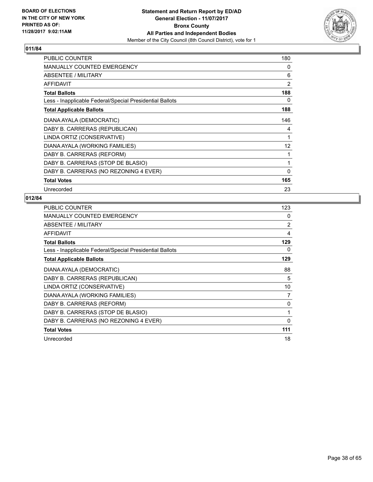

| <b>PUBLIC COUNTER</b>                                    | 180            |
|----------------------------------------------------------|----------------|
| <b>MANUALLY COUNTED EMERGENCY</b>                        | 0              |
| ABSENTEE / MILITARY                                      | 6              |
| <b>AFFIDAVIT</b>                                         | $\overline{2}$ |
| <b>Total Ballots</b>                                     | 188            |
| Less - Inapplicable Federal/Special Presidential Ballots | 0              |
| <b>Total Applicable Ballots</b>                          | 188            |
| DIANA AYALA (DEMOCRATIC)                                 | 146            |
| DABY B. CARRERAS (REPUBLICAN)                            | 4              |
| LINDA ORTIZ (CONSERVATIVE)                               | 1              |
| DIANA AYALA (WORKING FAMILIES)                           | 12             |
| DABY B. CARRERAS (REFORM)                                | 1              |
| DABY B. CARRERAS (STOP DE BLASIO)                        | 1              |
| DABY B. CARRERAS (NO REZONING 4 EVER)                    | $\mathbf{0}$   |
| <b>Total Votes</b>                                       | 165            |
| Unrecorded                                               | 23             |

| <b>PUBLIC COUNTER</b>                                    | 123            |
|----------------------------------------------------------|----------------|
| <b>MANUALLY COUNTED EMERGENCY</b>                        | 0              |
| ABSENTEE / MILITARY                                      | $\overline{2}$ |
| <b>AFFIDAVIT</b>                                         | 4              |
| <b>Total Ballots</b>                                     | 129            |
| Less - Inapplicable Federal/Special Presidential Ballots | 0              |
| <b>Total Applicable Ballots</b>                          | 129            |
| DIANA AYALA (DEMOCRATIC)                                 | 88             |
| DABY B. CARRERAS (REPUBLICAN)                            | 5              |
| LINDA ORTIZ (CONSERVATIVE)                               | 10             |
| DIANA AYALA (WORKING FAMILIES)                           | 7              |
| DABY B. CARRERAS (REFORM)                                | $\mathbf{0}$   |
| DABY B. CARRERAS (STOP DE BLASIO)                        | 1              |
| DABY B. CARRERAS (NO REZONING 4 EVER)                    | $\Omega$       |
| <b>Total Votes</b>                                       | 111            |
| Unrecorded                                               | 18             |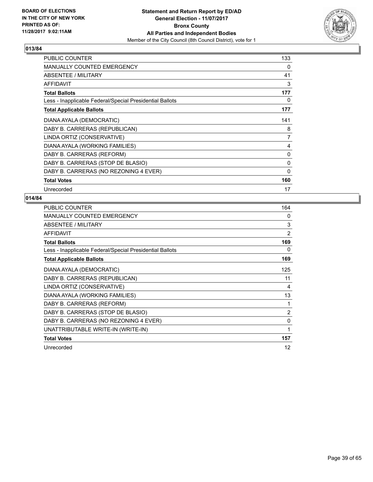

| PUBLIC COUNTER                                           | 133 |
|----------------------------------------------------------|-----|
| <b>MANUALLY COUNTED EMERGENCY</b>                        | 0   |
| ABSENTEE / MILITARY                                      | 41  |
| AFFIDAVIT                                                | 3   |
| <b>Total Ballots</b>                                     | 177 |
| Less - Inapplicable Federal/Special Presidential Ballots | 0   |
| <b>Total Applicable Ballots</b>                          | 177 |
| DIANA AYALA (DEMOCRATIC)                                 | 141 |
| DABY B. CARRERAS (REPUBLICAN)                            | 8   |
| LINDA ORTIZ (CONSERVATIVE)                               | 7   |
| DIANA AYALA (WORKING FAMILIES)                           | 4   |
| DABY B. CARRERAS (REFORM)                                | 0   |
| DABY B. CARRERAS (STOP DE BLASIO)                        | 0   |
| DABY B. CARRERAS (NO REZONING 4 EVER)                    | 0   |
| <b>Total Votes</b>                                       | 160 |
| Unrecorded                                               | 17  |

| PUBLIC COUNTER                                           | 164            |
|----------------------------------------------------------|----------------|
| <b>MANUALLY COUNTED EMERGENCY</b>                        | 0              |
| <b>ABSENTEE / MILITARY</b>                               | 3              |
| <b>AFFIDAVIT</b>                                         | 2              |
| <b>Total Ballots</b>                                     | 169            |
| Less - Inapplicable Federal/Special Presidential Ballots | 0              |
| <b>Total Applicable Ballots</b>                          | 169            |
| DIANA AYALA (DEMOCRATIC)                                 | 125            |
| DABY B. CARRERAS (REPUBLICAN)                            | 11             |
| LINDA ORTIZ (CONSERVATIVE)                               | 4              |
| DIANA AYALA (WORKING FAMILIES)                           | 13             |
| DABY B. CARRERAS (REFORM)                                | 1              |
| DABY B. CARRERAS (STOP DE BLASIO)                        | $\overline{2}$ |
| DABY B. CARRERAS (NO REZONING 4 EVER)                    | 0              |
| UNATTRIBUTABLE WRITE-IN (WRITE-IN)                       | 1              |
| <b>Total Votes</b>                                       | 157            |
| Unrecorded                                               | 12             |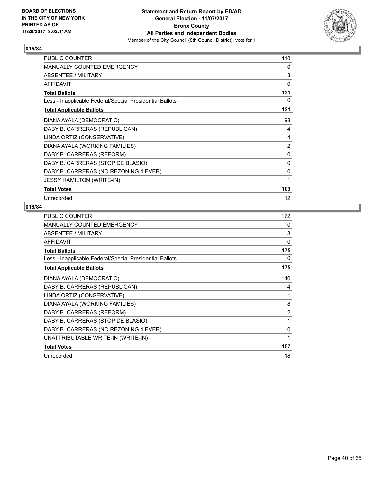

| <b>PUBLIC COUNTER</b>                                    | 118 |
|----------------------------------------------------------|-----|
| MANUALLY COUNTED EMERGENCY                               | 0   |
| ABSENTEE / MILITARY                                      | 3   |
| <b>AFFIDAVIT</b>                                         | 0   |
| <b>Total Ballots</b>                                     | 121 |
| Less - Inapplicable Federal/Special Presidential Ballots | 0   |
| <b>Total Applicable Ballots</b>                          | 121 |
| DIANA AYALA (DEMOCRATIC)                                 | 98  |
| DABY B. CARRERAS (REPUBLICAN)                            | 4   |
| LINDA ORTIZ (CONSERVATIVE)                               | 4   |
| DIANA AYALA (WORKING FAMILIES)                           | 2   |
| DABY B. CARRERAS (REFORM)                                | 0   |
| DABY B. CARRERAS (STOP DE BLASIO)                        | 0   |
| DABY B. CARRERAS (NO REZONING 4 EVER)                    | 0   |
| <b>JESSY HAMILTON (WRITE-IN)</b>                         | 1   |
| <b>Total Votes</b>                                       | 109 |
| Unrecorded                                               | 12  |

| <b>PUBLIC COUNTER</b>                                    | 172 |
|----------------------------------------------------------|-----|
| <b>MANUALLY COUNTED EMERGENCY</b>                        | 0   |
| ABSENTEE / MILITARY                                      | 3   |
| AFFIDAVIT                                                | 0   |
| <b>Total Ballots</b>                                     | 175 |
| Less - Inapplicable Federal/Special Presidential Ballots | 0   |
| <b>Total Applicable Ballots</b>                          | 175 |
| DIANA AYALA (DEMOCRATIC)                                 | 140 |
| DABY B. CARRERAS (REPUBLICAN)                            | 4   |
| LINDA ORTIZ (CONSERVATIVE)                               | 1   |
| DIANA AYALA (WORKING FAMILIES)                           | 8   |
| DABY B. CARRERAS (REFORM)                                | 2   |
| DABY B. CARRERAS (STOP DE BLASIO)                        | 1   |
| DABY B. CARRERAS (NO REZONING 4 EVER)                    | 0   |
| UNATTRIBUTABLE WRITE-IN (WRITE-IN)                       | 1   |
| <b>Total Votes</b>                                       | 157 |
| Unrecorded                                               | 18  |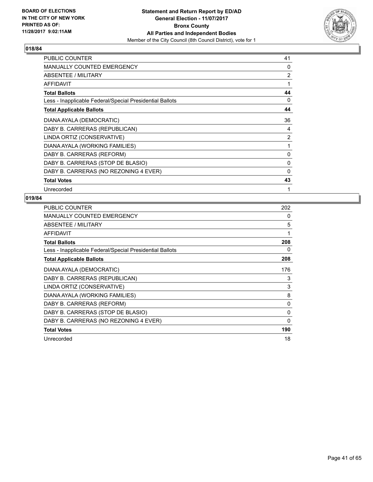

| PUBLIC COUNTER                                           | 41 |
|----------------------------------------------------------|----|
| MANUALLY COUNTED EMERGENCY                               | 0  |
| ABSENTEE / MILITARY                                      | 2  |
| <b>AFFIDAVIT</b>                                         | 1  |
| <b>Total Ballots</b>                                     | 44 |
| Less - Inapplicable Federal/Special Presidential Ballots | 0  |
| <b>Total Applicable Ballots</b>                          | 44 |
| DIANA AYALA (DEMOCRATIC)                                 | 36 |
| DABY B. CARRERAS (REPUBLICAN)                            | 4  |
| LINDA ORTIZ (CONSERVATIVE)                               | 2  |
| DIANA AYALA (WORKING FAMILIES)                           | 1  |
| DABY B. CARRERAS (REFORM)                                | 0  |
| DABY B. CARRERAS (STOP DE BLASIO)                        | 0  |
| DABY B. CARRERAS (NO REZONING 4 EVER)                    | 0  |
| <b>Total Votes</b>                                       | 43 |
| Unrecorded                                               | 1  |

| <b>PUBLIC COUNTER</b>                                    | 202         |
|----------------------------------------------------------|-------------|
| MANUALLY COUNTED EMERGENCY                               | 0           |
| ABSENTEE / MILITARY                                      | 5           |
| <b>AFFIDAVIT</b>                                         | 1           |
| <b>Total Ballots</b>                                     | 208         |
| Less - Inapplicable Federal/Special Presidential Ballots | 0           |
| <b>Total Applicable Ballots</b>                          | 208         |
| DIANA AYALA (DEMOCRATIC)                                 | 176         |
| DABY B. CARRERAS (REPUBLICAN)                            | 3           |
| LINDA ORTIZ (CONSERVATIVE)                               | 3           |
| DIANA AYALA (WORKING FAMILIES)                           | 8           |
| DABY B. CARRERAS (REFORM)                                | 0           |
| DABY B. CARRERAS (STOP DE BLASIO)                        | $\Omega$    |
| DABY B. CARRERAS (NO REZONING 4 EVER)                    | $\mathbf 0$ |
| <b>Total Votes</b>                                       | 190         |
| Unrecorded                                               | 18          |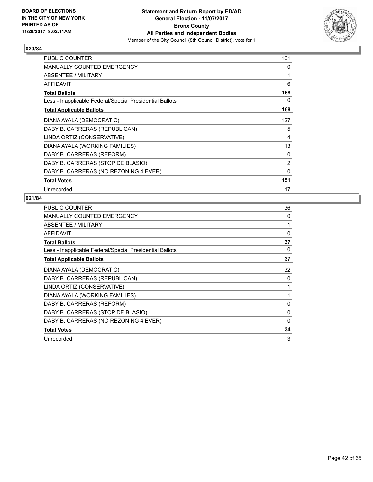

| <b>PUBLIC COUNTER</b>                                    | 161          |
|----------------------------------------------------------|--------------|
| <b>MANUALLY COUNTED EMERGENCY</b>                        | 0            |
| ABSENTEE / MILITARY                                      | 1            |
| <b>AFFIDAVIT</b>                                         | 6            |
| <b>Total Ballots</b>                                     | 168          |
| Less - Inapplicable Federal/Special Presidential Ballots | 0            |
| <b>Total Applicable Ballots</b>                          | 168          |
| DIANA AYALA (DEMOCRATIC)                                 | 127          |
| DABY B. CARRERAS (REPUBLICAN)                            | 5            |
| LINDA ORTIZ (CONSERVATIVE)                               | 4            |
| DIANA AYALA (WORKING FAMILIES)                           | 13           |
| DABY B. CARRERAS (REFORM)                                | 0            |
| DABY B. CARRERAS (STOP DE BLASIO)                        | 2            |
| DABY B. CARRERAS (NO REZONING 4 EVER)                    | $\mathbf{0}$ |
| <b>Total Votes</b>                                       | 151          |
| Unrecorded                                               | 17           |

| PUBLIC COUNTER                                           | 36       |
|----------------------------------------------------------|----------|
| <b>MANUALLY COUNTED EMERGENCY</b>                        | 0        |
| ABSENTEE / MILITARY                                      | 1        |
| <b>AFFIDAVIT</b>                                         | $\Omega$ |
| <b>Total Ballots</b>                                     | 37       |
| Less - Inapplicable Federal/Special Presidential Ballots | 0        |
| <b>Total Applicable Ballots</b>                          | 37       |
| DIANA AYALA (DEMOCRATIC)                                 | 32       |
| DABY B. CARRERAS (REPUBLICAN)                            | 0        |
| LINDA ORTIZ (CONSERVATIVE)                               |          |
| DIANA AYALA (WORKING FAMILIES)                           |          |
| DABY B. CARRERAS (REFORM)                                | 0        |
| DABY B. CARRERAS (STOP DE BLASIO)                        | 0        |
| DABY B. CARRERAS (NO REZONING 4 EVER)                    | 0        |
| <b>Total Votes</b>                                       | 34       |
| Unrecorded                                               | 3        |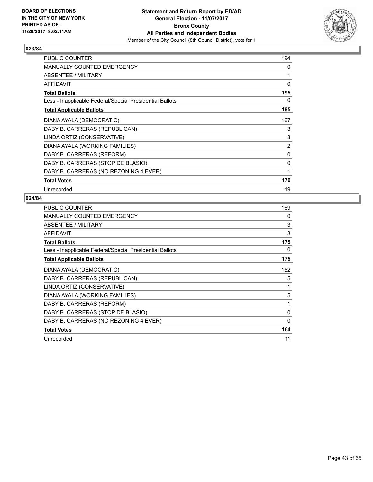

| <b>PUBLIC COUNTER</b>                                    | 194 |
|----------------------------------------------------------|-----|
| <b>MANUALLY COUNTED EMERGENCY</b>                        | 0   |
| ABSENTEE / MILITARY                                      | 1   |
| <b>AFFIDAVIT</b>                                         | 0   |
| <b>Total Ballots</b>                                     | 195 |
| Less - Inapplicable Federal/Special Presidential Ballots | 0   |
| <b>Total Applicable Ballots</b>                          | 195 |
| DIANA AYALA (DEMOCRATIC)                                 | 167 |
| DABY B. CARRERAS (REPUBLICAN)                            | 3   |
| LINDA ORTIZ (CONSERVATIVE)                               | 3   |
| DIANA AYALA (WORKING FAMILIES)                           | 2   |
| DABY B. CARRERAS (REFORM)                                | 0   |
| DABY B. CARRERAS (STOP DE BLASIO)                        | 0   |
| DABY B. CARRERAS (NO REZONING 4 EVER)                    | 1   |
| <b>Total Votes</b>                                       | 176 |
| Unrecorded                                               | 19  |

| <b>PUBLIC COUNTER</b>                                    | 169         |
|----------------------------------------------------------|-------------|
| MANUALLY COUNTED EMERGENCY                               | 0           |
| ABSENTEE / MILITARY                                      | 3           |
| <b>AFFIDAVIT</b>                                         | 3           |
| <b>Total Ballots</b>                                     | 175         |
| Less - Inapplicable Federal/Special Presidential Ballots | 0           |
| <b>Total Applicable Ballots</b>                          | 175         |
| DIANA AYALA (DEMOCRATIC)                                 | 152         |
| DABY B. CARRERAS (REPUBLICAN)                            | 5           |
| LINDA ORTIZ (CONSERVATIVE)                               | 1           |
| DIANA AYALA (WORKING FAMILIES)                           | 5           |
| DABY B. CARRERAS (REFORM)                                |             |
| DABY B. CARRERAS (STOP DE BLASIO)                        | $\Omega$    |
| DABY B. CARRERAS (NO REZONING 4 EVER)                    | $\mathbf 0$ |
| <b>Total Votes</b>                                       | 164         |
| Unrecorded                                               | 11          |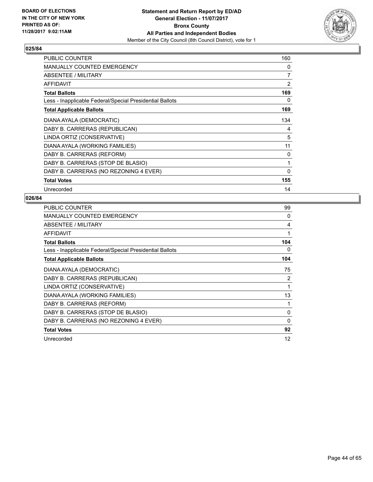

| <b>PUBLIC COUNTER</b>                                    | 160 |
|----------------------------------------------------------|-----|
| <b>MANUALLY COUNTED EMERGENCY</b>                        | 0   |
| ABSENTEE / MILITARY                                      | 7   |
| <b>AFFIDAVIT</b>                                         | 2   |
| <b>Total Ballots</b>                                     | 169 |
| Less - Inapplicable Federal/Special Presidential Ballots | 0   |
| <b>Total Applicable Ballots</b>                          | 169 |
| DIANA AYALA (DEMOCRATIC)                                 | 134 |
| DABY B. CARRERAS (REPUBLICAN)                            | 4   |
| LINDA ORTIZ (CONSERVATIVE)                               | 5   |
| DIANA AYALA (WORKING FAMILIES)                           | 11  |
| DABY B. CARRERAS (REFORM)                                | 0   |
| DABY B. CARRERAS (STOP DE BLASIO)                        | 1   |
| DABY B. CARRERAS (NO REZONING 4 EVER)                    | 0   |
| <b>Total Votes</b>                                       | 155 |
| Unrecorded                                               | 14  |

| <b>PUBLIC COUNTER</b>                                    | 99  |
|----------------------------------------------------------|-----|
| <b>MANUALLY COUNTED EMERGENCY</b>                        | 0   |
| ABSENTEE / MILITARY                                      | 4   |
| <b>AFFIDAVIT</b>                                         | 1   |
| <b>Total Ballots</b>                                     | 104 |
| Less - Inapplicable Federal/Special Presidential Ballots | 0   |
| <b>Total Applicable Ballots</b>                          | 104 |
| DIANA AYALA (DEMOCRATIC)                                 | 75  |
| DABY B. CARRERAS (REPUBLICAN)                            | 2   |
| LINDA ORTIZ (CONSERVATIVE)                               | 1   |
| DIANA AYALA (WORKING FAMILIES)                           | 13  |
| DABY B. CARRERAS (REFORM)                                |     |
| DABY B. CARRERAS (STOP DE BLASIO)                        | 0   |
| DABY B. CARRERAS (NO REZONING 4 EVER)                    | 0   |
| <b>Total Votes</b>                                       | 92  |
| Unrecorded                                               | 12  |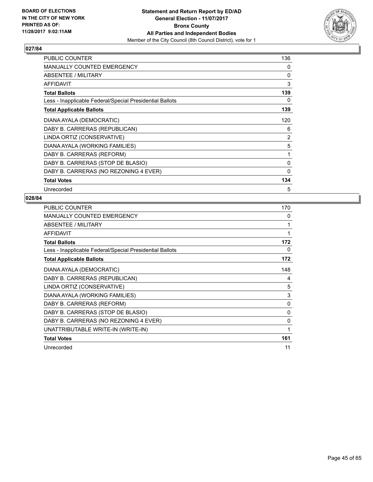

| PUBLIC COUNTER                                           | 136            |
|----------------------------------------------------------|----------------|
| <b>MANUALLY COUNTED EMERGENCY</b>                        | 0              |
| ABSENTEE / MILITARY                                      | 0              |
| <b>AFFIDAVIT</b>                                         | 3              |
| <b>Total Ballots</b>                                     | 139            |
| Less - Inapplicable Federal/Special Presidential Ballots | 0              |
| <b>Total Applicable Ballots</b>                          | 139            |
| DIANA AYALA (DEMOCRATIC)                                 | 120            |
| DABY B. CARRERAS (REPUBLICAN)                            | 6              |
| LINDA ORTIZ (CONSERVATIVE)                               | $\overline{2}$ |
| DIANA AYALA (WORKING FAMILIES)                           | 5              |
| DABY B. CARRERAS (REFORM)                                | 1              |
| DABY B. CARRERAS (STOP DE BLASIO)                        | 0              |
| DABY B. CARRERAS (NO REZONING 4 EVER)                    | 0              |
| <b>Total Votes</b>                                       | 134            |
| Unrecorded                                               | 5              |

| <b>PUBLIC COUNTER</b>                                    | 170      |
|----------------------------------------------------------|----------|
| <b>MANUALLY COUNTED EMERGENCY</b>                        | 0        |
| ABSENTEE / MILITARY                                      | 1        |
| <b>AFFIDAVIT</b>                                         | 1        |
| <b>Total Ballots</b>                                     | 172      |
| Less - Inapplicable Federal/Special Presidential Ballots | 0        |
| <b>Total Applicable Ballots</b>                          | 172      |
| DIANA AYALA (DEMOCRATIC)                                 | 148      |
| DABY B. CARRERAS (REPUBLICAN)                            | 4        |
| LINDA ORTIZ (CONSERVATIVE)                               | 5        |
| DIANA AYALA (WORKING FAMILIES)                           | 3        |
| DABY B. CARRERAS (REFORM)                                | 0        |
| DABY B. CARRERAS (STOP DE BLASIO)                        | 0        |
| DABY B. CARRERAS (NO REZONING 4 EVER)                    | $\Omega$ |
| UNATTRIBUTABLE WRITE-IN (WRITE-IN)                       | 1        |
| <b>Total Votes</b>                                       | 161      |
| Unrecorded                                               | 11       |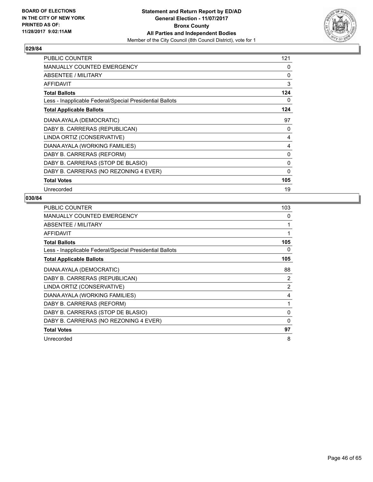

| <b>PUBLIC COUNTER</b>                                    | 121 |
|----------------------------------------------------------|-----|
| <b>MANUALLY COUNTED EMERGENCY</b>                        | 0   |
| ABSENTEE / MILITARY                                      | 0   |
| <b>AFFIDAVIT</b>                                         | 3   |
| <b>Total Ballots</b>                                     | 124 |
| Less - Inapplicable Federal/Special Presidential Ballots | 0   |
| <b>Total Applicable Ballots</b>                          | 124 |
| DIANA AYALA (DEMOCRATIC)                                 | 97  |
| DABY B. CARRERAS (REPUBLICAN)                            | 0   |
| LINDA ORTIZ (CONSERVATIVE)                               | 4   |
| DIANA AYALA (WORKING FAMILIES)                           | 4   |
| DABY B. CARRERAS (REFORM)                                | 0   |
| DABY B. CARRERAS (STOP DE BLASIO)                        | 0   |
| DABY B. CARRERAS (NO REZONING 4 EVER)                    | 0   |
| <b>Total Votes</b>                                       | 105 |
| Unrecorded                                               | 19  |

| <b>PUBLIC COUNTER</b>                                    | 103      |
|----------------------------------------------------------|----------|
| MANUALLY COUNTED EMERGENCY                               | 0        |
| ABSENTEE / MILITARY                                      | 1        |
| <b>AFFIDAVIT</b>                                         | 1        |
| <b>Total Ballots</b>                                     | 105      |
| Less - Inapplicable Federal/Special Presidential Ballots | 0        |
| <b>Total Applicable Ballots</b>                          | 105      |
| DIANA AYALA (DEMOCRATIC)                                 | 88       |
| DABY B. CARRERAS (REPUBLICAN)                            | 2        |
| LINDA ORTIZ (CONSERVATIVE)                               | 2        |
| DIANA AYALA (WORKING FAMILIES)                           | 4        |
| DABY B. CARRERAS (REFORM)                                | 1        |
| DABY B. CARRERAS (STOP DE BLASIO)                        | 0        |
| DABY B. CARRERAS (NO REZONING 4 EVER)                    | $\Omega$ |
| <b>Total Votes</b>                                       | 97       |
| Unrecorded                                               | 8        |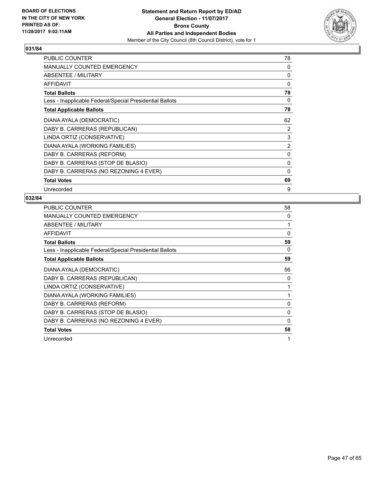

| <b>PUBLIC COUNTER</b>                                    | 78             |
|----------------------------------------------------------|----------------|
| <b>MANUALLY COUNTED EMERGENCY</b>                        | 0              |
| ABSENTEE / MILITARY                                      | 0              |
| <b>AFFIDAVIT</b>                                         | $\Omega$       |
| <b>Total Ballots</b>                                     | 78             |
| Less - Inapplicable Federal/Special Presidential Ballots | 0              |
| <b>Total Applicable Ballots</b>                          | 78             |
| DIANA AYALA (DEMOCRATIC)                                 | 62             |
| DABY B. CARRERAS (REPUBLICAN)                            | 2              |
| LINDA ORTIZ (CONSERVATIVE)                               | 3              |
| DIANA AYALA (WORKING FAMILIES)                           | $\overline{2}$ |
| DABY B. CARRERAS (REFORM)                                | 0              |
| DABY B. CARRERAS (STOP DE BLASIO)                        | 0              |
| DABY B. CARRERAS (NO REZONING 4 EVER)                    | 0              |
| <b>Total Votes</b>                                       | 69             |
| Unrecorded                                               | 9              |

| PUBLIC COUNTER                                           | 58       |
|----------------------------------------------------------|----------|
| <b>MANUALLY COUNTED EMERGENCY</b>                        | 0        |
| ABSENTEE / MILITARY                                      | 1        |
| <b>AFFIDAVIT</b>                                         | $\Omega$ |
| <b>Total Ballots</b>                                     | 59       |
| Less - Inapplicable Federal/Special Presidential Ballots | 0        |
| <b>Total Applicable Ballots</b>                          | 59       |
| DIANA AYALA (DEMOCRATIC)                                 | 56       |
| DABY B. CARRERAS (REPUBLICAN)                            | 0        |
| LINDA ORTIZ (CONSERVATIVE)                               |          |
| DIANA AYALA (WORKING FAMILIES)                           |          |
| DABY B. CARRERAS (REFORM)                                | 0        |
| DABY B. CARRERAS (STOP DE BLASIO)                        | 0        |
| DABY B. CARRERAS (NO REZONING 4 EVER)                    | 0        |
| <b>Total Votes</b>                                       | 58       |
| Unrecorded                                               | 1        |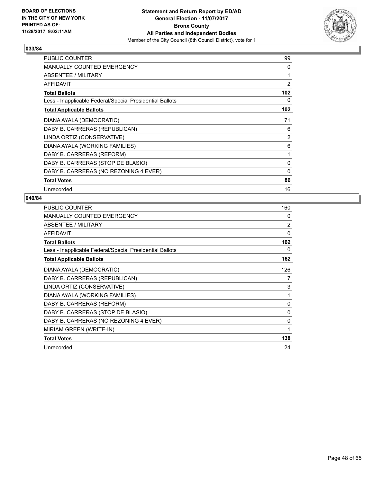

| <b>PUBLIC COUNTER</b>                                    | 99             |
|----------------------------------------------------------|----------------|
| <b>MANUALLY COUNTED EMERGENCY</b>                        | 0              |
| ABSENTEE / MILITARY                                      |                |
| <b>AFFIDAVIT</b>                                         | $\overline{2}$ |
| <b>Total Ballots</b>                                     | 102            |
| Less - Inapplicable Federal/Special Presidential Ballots | 0              |
| <b>Total Applicable Ballots</b>                          | 102            |
| DIANA AYALA (DEMOCRATIC)                                 | 71             |
| DABY B. CARRERAS (REPUBLICAN)                            | 6              |
| LINDA ORTIZ (CONSERVATIVE)                               | $\overline{2}$ |
| DIANA AYALA (WORKING FAMILIES)                           | 6              |
| DABY B. CARRERAS (REFORM)                                | 1              |
| DABY B. CARRERAS (STOP DE BLASIO)                        | 0              |
| DABY B. CARRERAS (NO REZONING 4 EVER)                    | 0              |
| <b>Total Votes</b>                                       | 86             |
| Unrecorded                                               | 16             |

| <b>PUBLIC COUNTER</b>                                    | 160            |
|----------------------------------------------------------|----------------|
| <b>MANUALLY COUNTED EMERGENCY</b>                        | 0              |
| ABSENTEE / MILITARY                                      | $\overline{2}$ |
| <b>AFFIDAVIT</b>                                         | 0              |
| <b>Total Ballots</b>                                     | 162            |
| Less - Inapplicable Federal/Special Presidential Ballots | 0              |
| <b>Total Applicable Ballots</b>                          | 162            |
| DIANA AYALA (DEMOCRATIC)                                 | 126            |
| DABY B. CARRERAS (REPUBLICAN)                            | 7              |
| LINDA ORTIZ (CONSERVATIVE)                               | 3              |
| DIANA AYALA (WORKING FAMILIES)                           | 1              |
| DABY B. CARRERAS (REFORM)                                | 0              |
| DABY B. CARRERAS (STOP DE BLASIO)                        | 0              |
| DABY B. CARRERAS (NO REZONING 4 EVER)                    | 0              |
| MIRIAM GREEN (WRITE-IN)                                  | 1              |
| <b>Total Votes</b>                                       | 138            |
| Unrecorded                                               | 24             |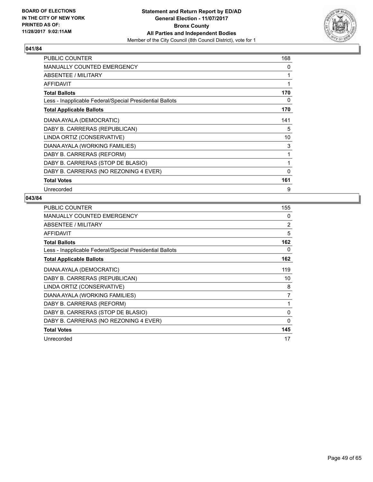

| PUBLIC COUNTER                                           | 168          |
|----------------------------------------------------------|--------------|
| <b>MANUALLY COUNTED EMERGENCY</b>                        | 0            |
| ABSENTEE / MILITARY                                      | 1            |
| <b>AFFIDAVIT</b>                                         | $\mathbf{1}$ |
| <b>Total Ballots</b>                                     | 170          |
| Less - Inapplicable Federal/Special Presidential Ballots | 0            |
| <b>Total Applicable Ballots</b>                          | 170          |
| DIANA AYALA (DEMOCRATIC)                                 | 141          |
| DABY B. CARRERAS (REPUBLICAN)                            | 5            |
| LINDA ORTIZ (CONSERVATIVE)                               | 10           |
| DIANA AYALA (WORKING FAMILIES)                           | 3            |
| DABY B. CARRERAS (REFORM)                                | 1            |
| DABY B. CARRERAS (STOP DE BLASIO)                        | 1            |
| DABY B. CARRERAS (NO REZONING 4 EVER)                    | 0            |
| <b>Total Votes</b>                                       | 161          |
| Unrecorded                                               | 9            |

| <b>PUBLIC COUNTER</b>                                    | 155            |
|----------------------------------------------------------|----------------|
| MANUALLY COUNTED EMERGENCY                               | 0              |
| ABSENTEE / MILITARY                                      | 2              |
| <b>AFFIDAVIT</b>                                         | 5              |
| <b>Total Ballots</b>                                     | 162            |
| Less - Inapplicable Federal/Special Presidential Ballots | 0              |
| <b>Total Applicable Ballots</b>                          | 162            |
| DIANA AYALA (DEMOCRATIC)                                 | 119            |
| DABY B. CARRERAS (REPUBLICAN)                            | 10             |
| LINDA ORTIZ (CONSERVATIVE)                               | 8              |
| DIANA AYALA (WORKING FAMILIES)                           | $\overline{7}$ |
| DABY B. CARRERAS (REFORM)                                | 1              |
| DABY B. CARRERAS (STOP DE BLASIO)                        | 0              |
| DABY B. CARRERAS (NO REZONING 4 EVER)                    | $\Omega$       |
| <b>Total Votes</b>                                       | 145            |
| Unrecorded                                               | 17             |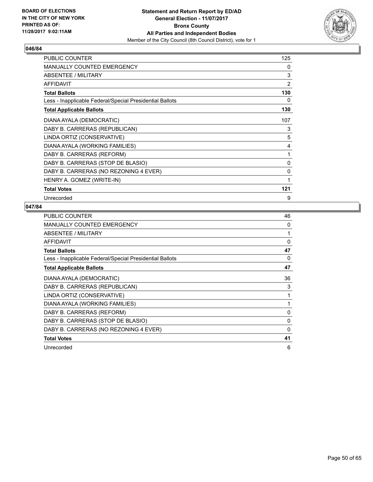

| <b>PUBLIC COUNTER</b>                                    | 125      |
|----------------------------------------------------------|----------|
| <b>MANUALLY COUNTED EMERGENCY</b>                        | 0        |
| ABSENTEE / MILITARY                                      | 3        |
| <b>AFFIDAVIT</b>                                         | 2        |
| <b>Total Ballots</b>                                     | 130      |
| Less - Inapplicable Federal/Special Presidential Ballots | 0        |
| <b>Total Applicable Ballots</b>                          | 130      |
| DIANA AYALA (DEMOCRATIC)                                 | 107      |
| DABY B. CARRERAS (REPUBLICAN)                            | 3        |
| LINDA ORTIZ (CONSERVATIVE)                               | 5        |
| DIANA AYALA (WORKING FAMILIES)                           | 4        |
| DABY B. CARRERAS (REFORM)                                | 1        |
| DABY B. CARRERAS (STOP DE BLASIO)                        | $\Omega$ |
| DABY B. CARRERAS (NO REZONING 4 EVER)                    | 0        |
| HENRY A. GOMEZ (WRITE-IN)                                | 1        |
| <b>Total Votes</b>                                       | 121      |
| Unrecorded                                               | 9        |

| PUBLIC COUNTER                                           | 46       |
|----------------------------------------------------------|----------|
| MANUALLY COUNTED EMERGENCY                               | 0        |
| ABSENTEE / MILITARY                                      |          |
| AFFIDAVIT                                                | $\Omega$ |
| <b>Total Ballots</b>                                     | 47       |
| Less - Inapplicable Federal/Special Presidential Ballots | 0        |
| <b>Total Applicable Ballots</b>                          | 47       |
| DIANA AYALA (DEMOCRATIC)                                 | 36       |
| DABY B. CARRERAS (REPUBLICAN)                            | 3        |
| LINDA ORTIZ (CONSERVATIVE)                               | 1        |
| DIANA AYALA (WORKING FAMILIES)                           | 1        |
| DABY B. CARRERAS (REFORM)                                | 0        |
| DABY B. CARRERAS (STOP DE BLASIO)                        | $\Omega$ |
| DABY B. CARRERAS (NO REZONING 4 EVER)                    | 0        |
| <b>Total Votes</b>                                       | 41       |
| Unrecorded                                               | 6        |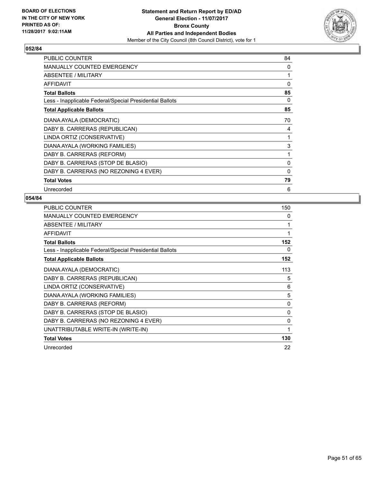

| <b>PUBLIC COUNTER</b>                                    | 84 |
|----------------------------------------------------------|----|
| MANUALLY COUNTED EMERGENCY                               | 0  |
| ABSENTEE / MILITARY                                      | 1  |
| AFFIDAVIT                                                | 0  |
| <b>Total Ballots</b>                                     | 85 |
| Less - Inapplicable Federal/Special Presidential Ballots | 0  |
| <b>Total Applicable Ballots</b>                          | 85 |
| DIANA AYALA (DEMOCRATIC)                                 | 70 |
| DABY B. CARRERAS (REPUBLICAN)                            | 4  |
| LINDA ORTIZ (CONSERVATIVE)                               | 1  |
| DIANA AYALA (WORKING FAMILIES)                           | 3  |
| DABY B. CARRERAS (REFORM)                                | 1  |
| DABY B. CARRERAS (STOP DE BLASIO)                        | 0  |
| DABY B. CARRERAS (NO REZONING 4 EVER)                    | 0  |
| <b>Total Votes</b>                                       | 79 |
| Unrecorded                                               | 6  |

| PUBLIC COUNTER                                           | 150      |
|----------------------------------------------------------|----------|
| <b>MANUALLY COUNTED EMERGENCY</b>                        | 0        |
| ABSENTEE / MILITARY                                      | 1        |
| <b>AFFIDAVIT</b>                                         | 1        |
| <b>Total Ballots</b>                                     | 152      |
| Less - Inapplicable Federal/Special Presidential Ballots | 0        |
| <b>Total Applicable Ballots</b>                          | 152      |
| DIANA AYALA (DEMOCRATIC)                                 | 113      |
| DABY B. CARRERAS (REPUBLICAN)                            | 5        |
| LINDA ORTIZ (CONSERVATIVE)                               | 6        |
| DIANA AYALA (WORKING FAMILIES)                           | 5        |
| DABY B. CARRERAS (REFORM)                                | 0        |
| DABY B. CARRERAS (STOP DE BLASIO)                        | 0        |
| DABY B. CARRERAS (NO REZONING 4 EVER)                    | $\Omega$ |
| UNATTRIBUTABLE WRITE-IN (WRITE-IN)                       | 1        |
| <b>Total Votes</b>                                       | 130      |
| Unrecorded                                               | 22       |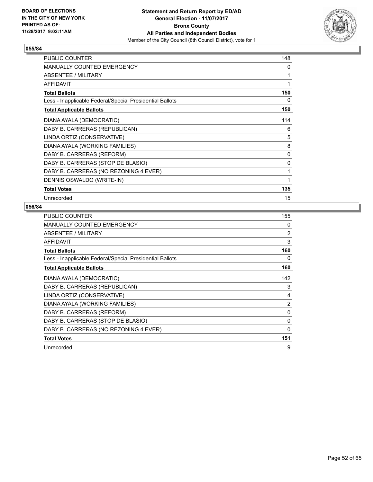

| PUBLIC COUNTER                                           | 148 |
|----------------------------------------------------------|-----|
| <b>MANUALLY COUNTED EMERGENCY</b>                        | 0   |
| ABSENTEE / MILITARY                                      | 1   |
| <b>AFFIDAVIT</b>                                         | 1   |
| <b>Total Ballots</b>                                     | 150 |
| Less - Inapplicable Federal/Special Presidential Ballots | 0   |
| <b>Total Applicable Ballots</b>                          | 150 |
| DIANA AYALA (DEMOCRATIC)                                 | 114 |
| DABY B. CARRERAS (REPUBLICAN)                            | 6   |
| LINDA ORTIZ (CONSERVATIVE)                               | 5   |
| DIANA AYALA (WORKING FAMILIES)                           | 8   |
| DABY B. CARRERAS (REFORM)                                | 0   |
| DABY B. CARRERAS (STOP DE BLASIO)                        | 0   |
| DABY B. CARRERAS (NO REZONING 4 EVER)                    | 1   |
| DENNIS OSWALDO (WRITE-IN)                                | 1   |
| <b>Total Votes</b>                                       | 135 |
| Unrecorded                                               | 15  |

| <b>PUBLIC COUNTER</b>                                    | 155      |
|----------------------------------------------------------|----------|
| <b>MANUALLY COUNTED EMERGENCY</b>                        | 0        |
| ABSENTEE / MILITARY                                      | 2        |
| <b>AFFIDAVIT</b>                                         | 3        |
| <b>Total Ballots</b>                                     | 160      |
| Less - Inapplicable Federal/Special Presidential Ballots | 0        |
| <b>Total Applicable Ballots</b>                          | 160      |
| DIANA AYALA (DEMOCRATIC)                                 | 142      |
| DABY B. CARRERAS (REPUBLICAN)                            | 3        |
| LINDA ORTIZ (CONSERVATIVE)                               | 4        |
| DIANA AYALA (WORKING FAMILIES)                           | 2        |
| DABY B. CARRERAS (REFORM)                                | 0        |
| DABY B. CARRERAS (STOP DE BLASIO)                        | $\Omega$ |
| DABY B. CARRERAS (NO REZONING 4 EVER)                    | 0        |
| <b>Total Votes</b>                                       | 151      |
| Unrecorded                                               | 9        |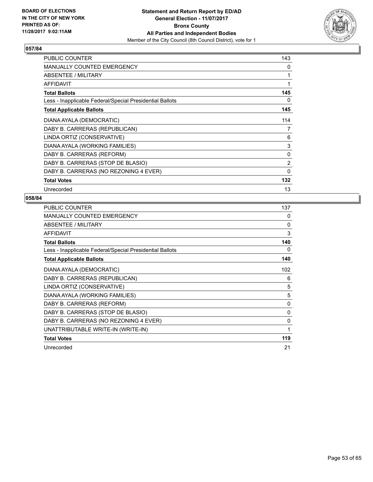

| <b>PUBLIC COUNTER</b>                                    | 143            |
|----------------------------------------------------------|----------------|
| <b>MANUALLY COUNTED EMERGENCY</b>                        | 0              |
| ABSENTEE / MILITARY                                      | 1              |
| <b>AFFIDAVIT</b>                                         | 1              |
| <b>Total Ballots</b>                                     | 145            |
| Less - Inapplicable Federal/Special Presidential Ballots | 0              |
| <b>Total Applicable Ballots</b>                          | 145            |
| DIANA AYALA (DEMOCRATIC)                                 | 114            |
| DABY B. CARRERAS (REPUBLICAN)                            | 7              |
| LINDA ORTIZ (CONSERVATIVE)                               | 6              |
| DIANA AYALA (WORKING FAMILIES)                           | 3              |
| DABY B. CARRERAS (REFORM)                                | 0              |
| DABY B. CARRERAS (STOP DE BLASIO)                        | $\overline{2}$ |
| DABY B. CARRERAS (NO REZONING 4 EVER)                    | $\Omega$       |
| <b>Total Votes</b>                                       | 132            |
| Unrecorded                                               | 13             |

| <b>PUBLIC COUNTER</b>                                    | 137          |
|----------------------------------------------------------|--------------|
| MANUALLY COUNTED EMERGENCY                               | $\mathbf{0}$ |
| ABSENTEE / MILITARY                                      | 0            |
| <b>AFFIDAVIT</b>                                         | 3            |
| <b>Total Ballots</b>                                     | 140          |
| Less - Inapplicable Federal/Special Presidential Ballots | 0            |
| <b>Total Applicable Ballots</b>                          | 140          |
| DIANA AYALA (DEMOCRATIC)                                 | 102          |
| DABY B. CARRERAS (REPUBLICAN)                            | 6            |
| LINDA ORTIZ (CONSERVATIVE)                               | 5            |
| DIANA AYALA (WORKING FAMILIES)                           | 5            |
| DABY B. CARRERAS (REFORM)                                | 0            |
| DABY B. CARRERAS (STOP DE BLASIO)                        | 0            |
| DABY B. CARRERAS (NO REZONING 4 EVER)                    | 0            |
| UNATTRIBUTABLE WRITE-IN (WRITE-IN)                       | 1            |
| <b>Total Votes</b>                                       | 119          |
| Unrecorded                                               | 21           |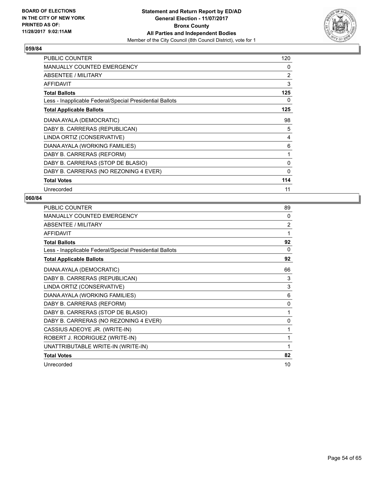

| <b>PUBLIC COUNTER</b>                                    | 120            |
|----------------------------------------------------------|----------------|
| <b>MANUALLY COUNTED EMERGENCY</b>                        | 0              |
| ABSENTEE / MILITARY                                      | $\overline{2}$ |
| <b>AFFIDAVIT</b>                                         | 3              |
| <b>Total Ballots</b>                                     | 125            |
| Less - Inapplicable Federal/Special Presidential Ballots | 0              |
| <b>Total Applicable Ballots</b>                          | 125            |
| DIANA AYALA (DEMOCRATIC)                                 | 98             |
| DABY B. CARRERAS (REPUBLICAN)                            | 5              |
| LINDA ORTIZ (CONSERVATIVE)                               | 4              |
| DIANA AYALA (WORKING FAMILIES)                           | 6              |
| DABY B. CARRERAS (REFORM)                                | 1              |
| DABY B. CARRERAS (STOP DE BLASIO)                        | 0              |
| DABY B. CARRERAS (NO REZONING 4 EVER)                    | 0              |
| <b>Total Votes</b>                                       | 114            |
| Unrecorded                                               | 11             |

| PUBLIC COUNTER                                           | 89           |
|----------------------------------------------------------|--------------|
| <b>MANUALLY COUNTED EMERGENCY</b>                        | 0            |
| ABSENTEE / MILITARY                                      | 2            |
| <b>AFFIDAVIT</b>                                         | 1            |
| <b>Total Ballots</b>                                     | 92           |
| Less - Inapplicable Federal/Special Presidential Ballots | 0            |
| <b>Total Applicable Ballots</b>                          | 92           |
| DIANA AYALA (DEMOCRATIC)                                 | 66           |
| DABY B. CARRERAS (REPUBLICAN)                            | 3            |
| LINDA ORTIZ (CONSERVATIVE)                               | 3            |
| DIANA AYALA (WORKING FAMILIES)                           | 6            |
| DABY B. CARRERAS (REFORM)                                | $\mathbf{0}$ |
| DABY B. CARRERAS (STOP DE BLASIO)                        |              |
| DABY B. CARRERAS (NO REZONING 4 EVER)                    | $\mathbf{0}$ |
| CASSIUS ADEOYE JR. (WRITE-IN)                            | 1            |
| ROBERT J. RODRIGUEZ (WRITE-IN)                           | 1            |
| UNATTRIBUTABLE WRITE-IN (WRITE-IN)                       | 1            |
| <b>Total Votes</b>                                       | 82           |
| Unrecorded                                               | 10           |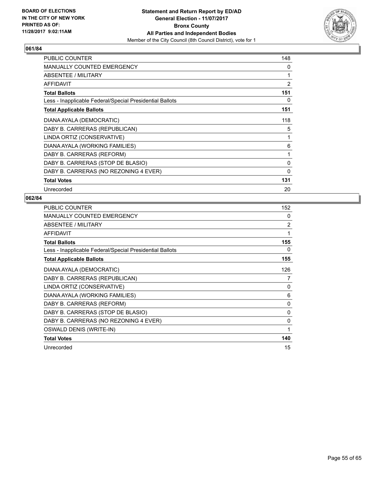

| <b>PUBLIC COUNTER</b>                                    | 148            |
|----------------------------------------------------------|----------------|
| <b>MANUALLY COUNTED EMERGENCY</b>                        | 0              |
| ABSENTEE / MILITARY                                      | 1              |
| <b>AFFIDAVIT</b>                                         | $\overline{2}$ |
| <b>Total Ballots</b>                                     | 151            |
| Less - Inapplicable Federal/Special Presidential Ballots | 0              |
| <b>Total Applicable Ballots</b>                          | 151            |
| DIANA AYALA (DEMOCRATIC)                                 | 118            |
| DABY B. CARRERAS (REPUBLICAN)                            | 5              |
| LINDA ORTIZ (CONSERVATIVE)                               | 1              |
| DIANA AYALA (WORKING FAMILIES)                           | 6              |
| DABY B. CARRERAS (REFORM)                                | 1              |
| DABY B. CARRERAS (STOP DE BLASIO)                        | 0              |
| DABY B. CARRERAS (NO REZONING 4 EVER)                    | $\mathbf{0}$   |
| <b>Total Votes</b>                                       | 131            |
| Unrecorded                                               | 20             |

| <b>PUBLIC COUNTER</b>                                    | 152          |
|----------------------------------------------------------|--------------|
| <b>MANUALLY COUNTED EMERGENCY</b>                        | $\mathbf{0}$ |
| ABSENTEE / MILITARY                                      | 2            |
| <b>AFFIDAVIT</b>                                         | 1            |
| <b>Total Ballots</b>                                     | 155          |
| Less - Inapplicable Federal/Special Presidential Ballots | 0            |
| <b>Total Applicable Ballots</b>                          | 155          |
| DIANA AYALA (DEMOCRATIC)                                 | 126          |
| DABY B. CARRERAS (REPUBLICAN)                            | 7            |
| LINDA ORTIZ (CONSERVATIVE)                               | $\mathbf{0}$ |
| DIANA AYALA (WORKING FAMILIES)                           | 6            |
| DABY B. CARRERAS (REFORM)                                | 0            |
| DABY B. CARRERAS (STOP DE BLASIO)                        | 0            |
| DABY B. CARRERAS (NO REZONING 4 EVER)                    | 0            |
| OSWALD DENIS (WRITE-IN)                                  | 1            |
| <b>Total Votes</b>                                       | 140          |
| Unrecorded                                               | 15           |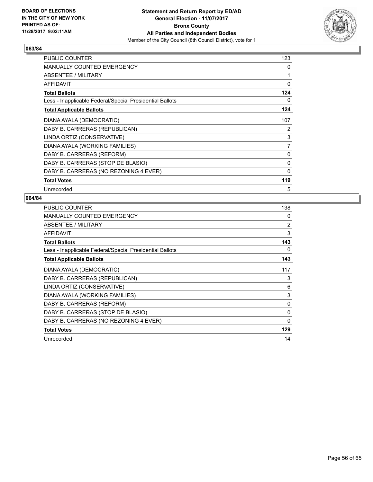

| <b>PUBLIC COUNTER</b>                                    | 123 |
|----------------------------------------------------------|-----|
| <b>MANUALLY COUNTED EMERGENCY</b>                        | 0   |
| ABSENTEE / MILITARY                                      | 1   |
| <b>AFFIDAVIT</b>                                         | 0   |
| <b>Total Ballots</b>                                     | 124 |
| Less - Inapplicable Federal/Special Presidential Ballots | 0   |
| <b>Total Applicable Ballots</b>                          | 124 |
| DIANA AYALA (DEMOCRATIC)                                 | 107 |
| DABY B. CARRERAS (REPUBLICAN)                            | 2   |
| LINDA ORTIZ (CONSERVATIVE)                               | 3   |
| DIANA AYALA (WORKING FAMILIES)                           | 7   |
| DABY B. CARRERAS (REFORM)                                | 0   |
| DABY B. CARRERAS (STOP DE BLASIO)                        | 0   |
| DABY B. CARRERAS (NO REZONING 4 EVER)                    | 0   |
| <b>Total Votes</b>                                       | 119 |
| Unrecorded                                               | 5   |

| <b>PUBLIC COUNTER</b>                                    | 138          |
|----------------------------------------------------------|--------------|
| MANUALLY COUNTED EMERGENCY                               | 0            |
| ABSENTEE / MILITARY                                      | 2            |
| <b>AFFIDAVIT</b>                                         | 3            |
| <b>Total Ballots</b>                                     | 143          |
| Less - Inapplicable Federal/Special Presidential Ballots | 0            |
| <b>Total Applicable Ballots</b>                          | 143          |
| DIANA AYALA (DEMOCRATIC)                                 | 117          |
| DABY B. CARRERAS (REPUBLICAN)                            | 3            |
| LINDA ORTIZ (CONSERVATIVE)                               | 6            |
| DIANA AYALA (WORKING FAMILIES)                           | 3            |
| DABY B. CARRERAS (REFORM)                                | 0            |
| DABY B. CARRERAS (STOP DE BLASIO)                        | 0            |
| DABY B. CARRERAS (NO REZONING 4 EVER)                    | $\mathbf{0}$ |
| <b>Total Votes</b>                                       | 129          |
| Unrecorded                                               | 14           |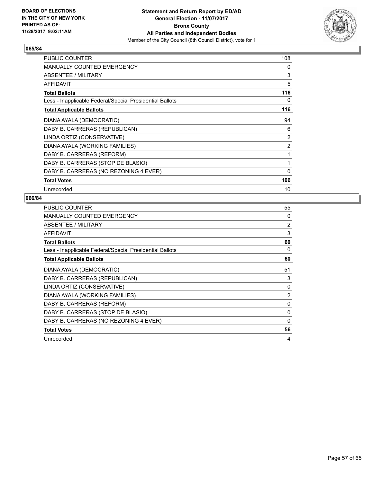

| <b>PUBLIC COUNTER</b>                                    | 108            |
|----------------------------------------------------------|----------------|
| MANUALLY COUNTED EMERGENCY                               | 0              |
| ABSENTEE / MILITARY                                      | 3              |
| <b>AFFIDAVIT</b>                                         | 5              |
| <b>Total Ballots</b>                                     | 116            |
| Less - Inapplicable Federal/Special Presidential Ballots | 0              |
| <b>Total Applicable Ballots</b>                          | 116            |
| DIANA AYALA (DEMOCRATIC)                                 | 94             |
| DABY B. CARRERAS (REPUBLICAN)                            | 6              |
| LINDA ORTIZ (CONSERVATIVE)                               | 2              |
| DIANA AYALA (WORKING FAMILIES)                           | $\overline{2}$ |
| DABY B. CARRERAS (REFORM)                                | 1              |
| DABY B. CARRERAS (STOP DE BLASIO)                        | 1              |
| DABY B. CARRERAS (NO REZONING 4 EVER)                    | $\mathbf{0}$   |
| <b>Total Votes</b>                                       | 106            |
| Unrecorded                                               | 10             |

| PUBLIC COUNTER                                           | 55             |
|----------------------------------------------------------|----------------|
| <b>MANUALLY COUNTED EMERGENCY</b>                        | 0              |
| ABSENTEE / MILITARY                                      | $\overline{2}$ |
| <b>AFFIDAVIT</b>                                         | 3              |
| <b>Total Ballots</b>                                     | 60             |
| Less - Inapplicable Federal/Special Presidential Ballots | 0              |
| <b>Total Applicable Ballots</b>                          | 60             |
| DIANA AYALA (DEMOCRATIC)                                 | 51             |
| DABY B. CARRERAS (REPUBLICAN)                            | 3              |
| LINDA ORTIZ (CONSERVATIVE)                               | $\Omega$       |
| DIANA AYALA (WORKING FAMILIES)                           | $\overline{2}$ |
| DABY B. CARRERAS (REFORM)                                | 0              |
| DABY B. CARRERAS (STOP DE BLASIO)                        | 0              |
| DABY B. CARRERAS (NO REZONING 4 EVER)                    | 0              |
| <b>Total Votes</b>                                       | 56             |
| Unrecorded                                               | 4              |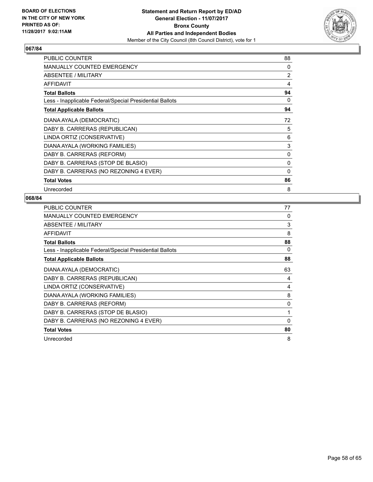

| <b>PUBLIC COUNTER</b>                                    | 88             |
|----------------------------------------------------------|----------------|
| <b>MANUALLY COUNTED EMERGENCY</b>                        | 0              |
| ABSENTEE / MILITARY                                      | $\overline{2}$ |
| <b>AFFIDAVIT</b>                                         | 4              |
| <b>Total Ballots</b>                                     | 94             |
| Less - Inapplicable Federal/Special Presidential Ballots | 0              |
| <b>Total Applicable Ballots</b>                          | 94             |
| DIANA AYALA (DEMOCRATIC)                                 | 72             |
| DABY B. CARRERAS (REPUBLICAN)                            | 5              |
| LINDA ORTIZ (CONSERVATIVE)                               | 6              |
| DIANA AYALA (WORKING FAMILIES)                           | 3              |
| DABY B. CARRERAS (REFORM)                                | 0              |
| DABY B. CARRERAS (STOP DE BLASIO)                        | 0              |
| DABY B. CARRERAS (NO REZONING 4 EVER)                    | 0              |
| <b>Total Votes</b>                                       | 86             |
| Unrecorded                                               | 8              |

| <b>PUBLIC COUNTER</b>                                    | 77 |
|----------------------------------------------------------|----|
| <b>MANUALLY COUNTED EMERGENCY</b>                        | 0  |
| ABSENTEE / MILITARY                                      | 3  |
| AFFIDAVIT                                                | 8  |
| <b>Total Ballots</b>                                     | 88 |
| Less - Inapplicable Federal/Special Presidential Ballots | 0  |
| <b>Total Applicable Ballots</b>                          | 88 |
| DIANA AYALA (DEMOCRATIC)                                 | 63 |
| DABY B. CARRERAS (REPUBLICAN)                            | 4  |
| LINDA ORTIZ (CONSERVATIVE)                               | 4  |
| DIANA AYALA (WORKING FAMILIES)                           | 8  |
| DABY B. CARRERAS (REFORM)                                | 0  |
| DABY B. CARRERAS (STOP DE BLASIO)                        | 1  |
| DABY B. CARRERAS (NO REZONING 4 EVER)                    | 0  |
| <b>Total Votes</b>                                       | 80 |
| Unrecorded                                               | 8  |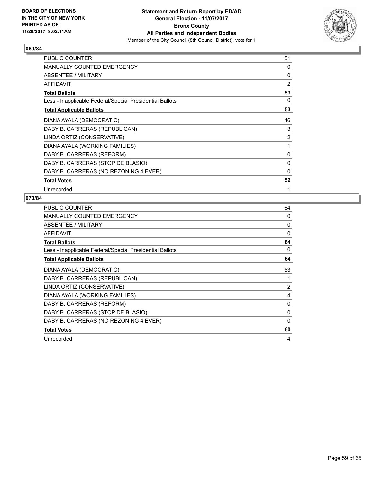

| <b>PUBLIC COUNTER</b>                                    | 51             |
|----------------------------------------------------------|----------------|
| <b>MANUALLY COUNTED EMERGENCY</b>                        | 0              |
| ABSENTEE / MILITARY                                      | 0              |
| <b>AFFIDAVIT</b>                                         | $\overline{2}$ |
| <b>Total Ballots</b>                                     | 53             |
| Less - Inapplicable Federal/Special Presidential Ballots | 0              |
| <b>Total Applicable Ballots</b>                          | 53             |
| DIANA AYALA (DEMOCRATIC)                                 | 46             |
| DABY B. CARRERAS (REPUBLICAN)                            | 3              |
| LINDA ORTIZ (CONSERVATIVE)                               | $\overline{2}$ |
| DIANA AYALA (WORKING FAMILIES)                           | 1              |
| DABY B. CARRERAS (REFORM)                                | 0              |
| DABY B. CARRERAS (STOP DE BLASIO)                        | 0              |
| DABY B. CARRERAS (NO REZONING 4 EVER)                    | 0              |
| <b>Total Votes</b>                                       | 52             |
| Unrecorded                                               | 1              |

| <b>PUBLIC COUNTER</b>                                    | 64 |
|----------------------------------------------------------|----|
| <b>MANUALLY COUNTED EMERGENCY</b>                        | 0  |
| ABSENTEE / MILITARY                                      | 0  |
| AFFIDAVIT                                                | 0  |
| <b>Total Ballots</b>                                     | 64 |
| Less - Inapplicable Federal/Special Presidential Ballots | 0  |
| <b>Total Applicable Ballots</b>                          | 64 |
| DIANA AYALA (DEMOCRATIC)                                 | 53 |
| DABY B. CARRERAS (REPUBLICAN)                            |    |
| LINDA ORTIZ (CONSERVATIVE)                               | 2  |
| DIANA AYALA (WORKING FAMILIES)                           | 4  |
| DABY B. CARRERAS (REFORM)                                | 0  |
| DABY B. CARRERAS (STOP DE BLASIO)                        | 0  |
| DABY B. CARRERAS (NO REZONING 4 EVER)                    | 0  |
| <b>Total Votes</b>                                       | 60 |
| Unrecorded                                               | 4  |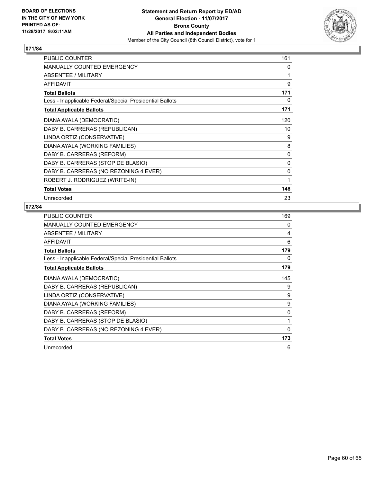

| <b>PUBLIC COUNTER</b>                                    | 161 |
|----------------------------------------------------------|-----|
| <b>MANUALLY COUNTED EMERGENCY</b>                        | 0   |
| ABSENTEE / MILITARY                                      | 1   |
| <b>AFFIDAVIT</b>                                         | 9   |
| <b>Total Ballots</b>                                     | 171 |
| Less - Inapplicable Federal/Special Presidential Ballots | 0   |
| <b>Total Applicable Ballots</b>                          | 171 |
| DIANA AYALA (DEMOCRATIC)                                 | 120 |
| DABY B. CARRERAS (REPUBLICAN)                            | 10  |
| LINDA ORTIZ (CONSERVATIVE)                               | 9   |
| DIANA AYALA (WORKING FAMILIES)                           | 8   |
| DABY B. CARRERAS (REFORM)                                | 0   |
| DABY B. CARRERAS (STOP DE BLASIO)                        | 0   |
| DABY B. CARRERAS (NO REZONING 4 EVER)                    | 0   |
| ROBERT J. RODRIGUEZ (WRITE-IN)                           | 1   |
| <b>Total Votes</b>                                       | 148 |
| Unrecorded                                               | 23  |

| <b>PUBLIC COUNTER</b>                                    | 169 |
|----------------------------------------------------------|-----|
| <b>MANUALLY COUNTED EMERGENCY</b>                        | 0   |
| ABSENTEE / MILITARY                                      | 4   |
| <b>AFFIDAVIT</b>                                         | 6   |
| <b>Total Ballots</b>                                     | 179 |
| Less - Inapplicable Federal/Special Presidential Ballots | 0   |
| <b>Total Applicable Ballots</b>                          | 179 |
| DIANA AYALA (DEMOCRATIC)                                 | 145 |
| DABY B. CARRERAS (REPUBLICAN)                            | 9   |
| LINDA ORTIZ (CONSERVATIVE)                               | 9   |
| DIANA AYALA (WORKING FAMILIES)                           | 9   |
| DABY B. CARRERAS (REFORM)                                | 0   |
| DABY B. CARRERAS (STOP DE BLASIO)                        | 1   |
| DABY B. CARRERAS (NO REZONING 4 EVER)                    | 0   |
| <b>Total Votes</b>                                       | 173 |
| Unrecorded                                               | 6   |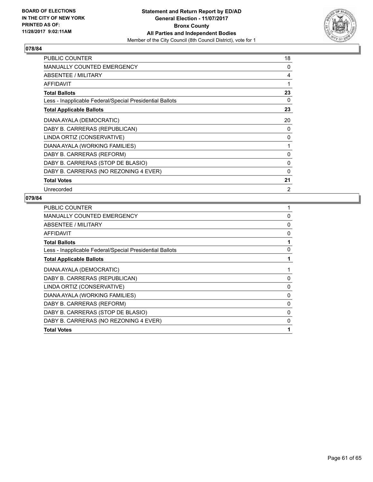

| <b>PUBLIC COUNTER</b>                                    | 18 |
|----------------------------------------------------------|----|
| <b>MANUALLY COUNTED EMERGENCY</b>                        | 0  |
| ABSENTEE / MILITARY                                      | 4  |
| <b>AFFIDAVIT</b>                                         | 1  |
| <b>Total Ballots</b>                                     | 23 |
| Less - Inapplicable Federal/Special Presidential Ballots | 0  |
| <b>Total Applicable Ballots</b>                          | 23 |
| DIANA AYALA (DEMOCRATIC)                                 | 20 |
| DABY B. CARRERAS (REPUBLICAN)                            | 0  |
| LINDA ORTIZ (CONSERVATIVE)                               | 0  |
| DIANA AYALA (WORKING FAMILIES)                           | 1  |
| DABY B. CARRERAS (REFORM)                                | 0  |
| DABY B. CARRERAS (STOP DE BLASIO)                        | 0  |
| DABY B. CARRERAS (NO REZONING 4 EVER)                    | 0  |
| <b>Total Votes</b>                                       | 21 |
| Unrecorded                                               | 2  |

| PUBLIC COUNTER                                           |   |
|----------------------------------------------------------|---|
| <b>MANUALLY COUNTED EMERGENCY</b>                        | 0 |
| ABSENTEE / MILITARY                                      | 0 |
| <b>AFFIDAVIT</b>                                         | 0 |
| <b>Total Ballots</b>                                     |   |
| Less - Inapplicable Federal/Special Presidential Ballots | 0 |
| <b>Total Applicable Ballots</b>                          |   |
| DIANA AYALA (DEMOCRATIC)                                 |   |
| DABY B. CARRERAS (REPUBLICAN)                            | 0 |
| LINDA ORTIZ (CONSERVATIVE)                               | 0 |
| DIANA AYALA (WORKING FAMILIES)                           | 0 |
| DABY B. CARRERAS (REFORM)                                | 0 |
| DABY B. CARRERAS (STOP DE BLASIO)                        | 0 |
| DABY B. CARRERAS (NO REZONING 4 EVER)                    | 0 |
| <b>Total Votes</b>                                       |   |
|                                                          |   |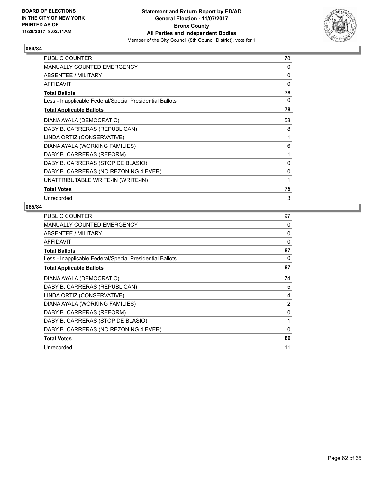

| <b>PUBLIC COUNTER</b>                                    | 78 |
|----------------------------------------------------------|----|
| <b>MANUALLY COUNTED EMERGENCY</b>                        | 0  |
| ABSENTEE / MILITARY                                      | 0  |
| <b>AFFIDAVIT</b>                                         | 0  |
| <b>Total Ballots</b>                                     | 78 |
| Less - Inapplicable Federal/Special Presidential Ballots | 0  |
| <b>Total Applicable Ballots</b>                          | 78 |
| DIANA AYALA (DEMOCRATIC)                                 | 58 |
| DABY B. CARRERAS (REPUBLICAN)                            | 8  |
| LINDA ORTIZ (CONSERVATIVE)                               | 1  |
| DIANA AYALA (WORKING FAMILIES)                           | 6  |
| DABY B. CARRERAS (REFORM)                                | 1  |
| DABY B. CARRERAS (STOP DE BLASIO)                        | 0  |
| DABY B. CARRERAS (NO REZONING 4 EVER)                    | 0  |
| UNATTRIBUTABLE WRITE-IN (WRITE-IN)                       | 1  |
| <b>Total Votes</b>                                       | 75 |
| Unrecorded                                               | 3  |

| PUBLIC COUNTER                                           | 97             |
|----------------------------------------------------------|----------------|
| MANUALLY COUNTED EMERGENCY                               | 0              |
| ABSENTEE / MILITARY                                      | 0              |
| AFFIDAVIT                                                | $\Omega$       |
| <b>Total Ballots</b>                                     | 97             |
| Less - Inapplicable Federal/Special Presidential Ballots | 0              |
| <b>Total Applicable Ballots</b>                          | 97             |
| DIANA AYALA (DEMOCRATIC)                                 | 74             |
| DABY B. CARRERAS (REPUBLICAN)                            | 5              |
| LINDA ORTIZ (CONSERVATIVE)                               | 4              |
| DIANA AYALA (WORKING FAMILIES)                           | $\overline{2}$ |
| DABY B. CARRERAS (REFORM)                                | 0              |
| DABY B. CARRERAS (STOP DE BLASIO)                        | 1              |
| DABY B. CARRERAS (NO REZONING 4 EVER)                    | $\Omega$       |
| <b>Total Votes</b>                                       | 86             |
| Unrecorded                                               | 11             |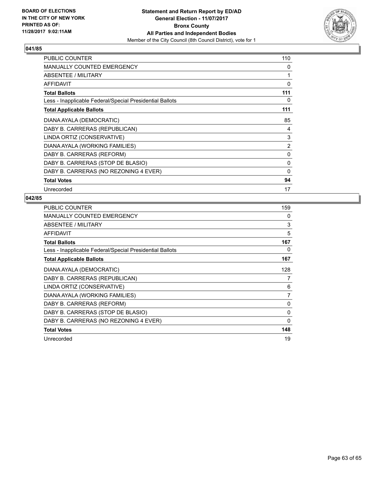

| <b>PUBLIC COUNTER</b>                                    | 110            |
|----------------------------------------------------------|----------------|
| <b>MANUALLY COUNTED EMERGENCY</b>                        | 0              |
| ABSENTEE / MILITARY                                      |                |
| <b>AFFIDAVIT</b>                                         | 0              |
| <b>Total Ballots</b>                                     | 111            |
| Less - Inapplicable Federal/Special Presidential Ballots | 0              |
| <b>Total Applicable Ballots</b>                          | 111            |
| DIANA AYALA (DEMOCRATIC)                                 | 85             |
| DABY B. CARRERAS (REPUBLICAN)                            | 4              |
| LINDA ORTIZ (CONSERVATIVE)                               | 3              |
| DIANA AYALA (WORKING FAMILIES)                           | $\overline{2}$ |
| DABY B. CARRERAS (REFORM)                                | 0              |
| DABY B. CARRERAS (STOP DE BLASIO)                        | 0              |
| DABY B. CARRERAS (NO REZONING 4 EVER)                    | 0              |
| <b>Total Votes</b>                                       | 94             |
| Unrecorded                                               | 17             |

| <b>PUBLIC COUNTER</b>                                    | 159      |
|----------------------------------------------------------|----------|
| MANUALLY COUNTED EMERGENCY                               | 0        |
| ABSENTEE / MILITARY                                      | 3        |
| <b>AFFIDAVIT</b>                                         | 5        |
| <b>Total Ballots</b>                                     | 167      |
| Less - Inapplicable Federal/Special Presidential Ballots | 0        |
| <b>Total Applicable Ballots</b>                          | 167      |
| DIANA AYALA (DEMOCRATIC)                                 | 128      |
| DABY B. CARRERAS (REPUBLICAN)                            | 7        |
| LINDA ORTIZ (CONSERVATIVE)                               | 6        |
| DIANA AYALA (WORKING FAMILIES)                           | 7        |
| DABY B. CARRERAS (REFORM)                                | 0        |
| DABY B. CARRERAS (STOP DE BLASIO)                        | 0        |
| DABY B. CARRERAS (NO REZONING 4 EVER)                    | $\Omega$ |
| <b>Total Votes</b>                                       | 148      |
| Unrecorded                                               | 19       |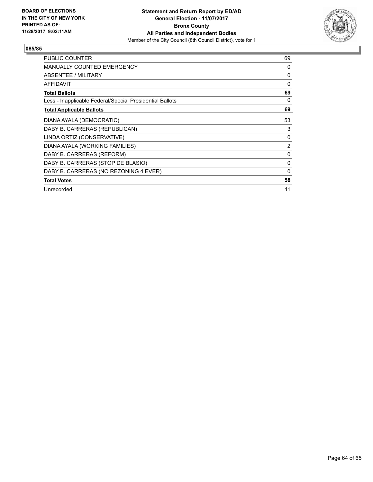

| <b>PUBLIC COUNTER</b>                                    | 69             |
|----------------------------------------------------------|----------------|
| <b>MANUALLY COUNTED EMERGENCY</b>                        | 0              |
| <b>ABSENTEE / MILITARY</b>                               | 0              |
| <b>AFFIDAVIT</b>                                         | $\Omega$       |
| <b>Total Ballots</b>                                     | 69             |
| Less - Inapplicable Federal/Special Presidential Ballots | 0              |
| <b>Total Applicable Ballots</b>                          | 69             |
| DIANA AYALA (DEMOCRATIC)                                 | 53             |
| DABY B. CARRERAS (REPUBLICAN)                            | 3              |
| LINDA ORTIZ (CONSERVATIVE)                               | 0              |
| DIANA AYALA (WORKING FAMILIES)                           | $\overline{2}$ |
| DABY B. CARRERAS (REFORM)                                | 0              |
| DABY B. CARRERAS (STOP DE BLASIO)                        | 0              |
| DABY B. CARRERAS (NO REZONING 4 EVER)                    | 0              |
| <b>Total Votes</b>                                       | 58             |
| Unrecorded                                               | 11             |